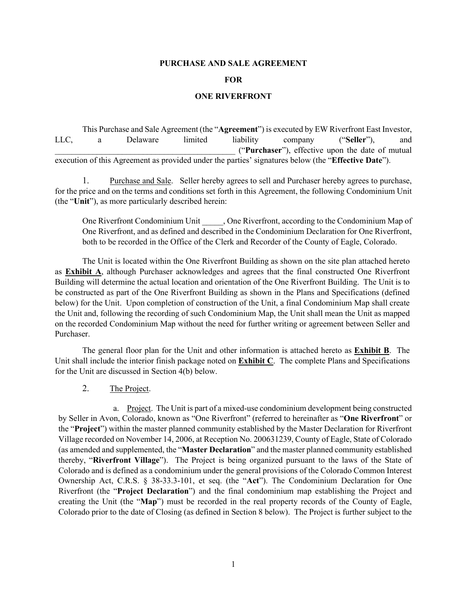#### **PURCHASE AND SALE AGREEMENT**

#### **FOR**

#### **ONE RIVERFRONT**

This Purchase and Sale Agreement (the "**Agreement**") is executed by EW Riverfront East Investor, LLC, a Delaware limited liability company ("**Seller**"), and \_\_\_\_\_\_\_\_\_\_\_\_\_\_\_\_\_\_\_\_\_\_\_\_\_\_\_\_\_\_\_\_\_\_\_\_\_\_\_\_\_\_\_ ("**Purchaser**"), effective upon the date of mutual execution of this Agreement as provided under the parties' signatures below (the "**Effective Date**").

1. Purchase and Sale. Seller hereby agrees to sell and Purchaser hereby agrees to purchase, for the price and on the terms and conditions set forth in this Agreement, the following Condominium Unit (the "**Unit**"), as more particularly described herein:

One Riverfront Condominium Unit , One Riverfront, according to the Condominium Map of One Riverfront, and as defined and described in the Condominium Declaration for One Riverfront, both to be recorded in the Office of the Clerk and Recorder of the County of Eagle, Colorado.

The Unit is located within the One Riverfront Building as shown on the site plan attached hereto as **Exhibit A**, although Purchaser acknowledges and agrees that the final constructed One Riverfront Building will determine the actual location and orientation of the One Riverfront Building. The Unit is to be constructed as part of the One Riverfront Building as shown in the Plans and Specifications (defined below) for the Unit. Upon completion of construction of the Unit, a final Condominium Map shall create the Unit and, following the recording of such Condominium Map, the Unit shall mean the Unit as mapped on the recorded Condominium Map without the need for further writing or agreement between Seller and Purchaser.

The general floor plan for the Unit and other information is attached hereto as **Exhibit B**. The Unit shall include the interior finish package noted on **Exhibit C**. The complete Plans and Specifications for the Unit are discussed in Section 4(b) below.

2. The Project.

a. Project. The Unit is part of a mixed-use condominium development being constructed by Seller in Avon, Colorado, known as "One Riverfront" (referred to hereinafter as "**One Riverfront**" or the "**Project**") within the master planned community established by the Master Declaration for Riverfront Village recorded on November 14, 2006, at Reception No. 200631239, County of Eagle, State of Colorado (as amended and supplemented, the "**Master Declaration**" and the master planned community established thereby, "**Riverfront Village**"). The Project is being organized pursuant to the laws of the State of Colorado and is defined as a condominium under the general provisions of the Colorado Common Interest Ownership Act, C.R.S. § 38-33.3-101, et seq. (the "**Act**"). The Condominium Declaration for One Riverfront (the "**Project Declaration**") and the final condominium map establishing the Project and creating the Unit (the "**Map**") must be recorded in the real property records of the County of Eagle, Colorado prior to the date of Closing (as defined in Section 8 below). The Project is further subject to the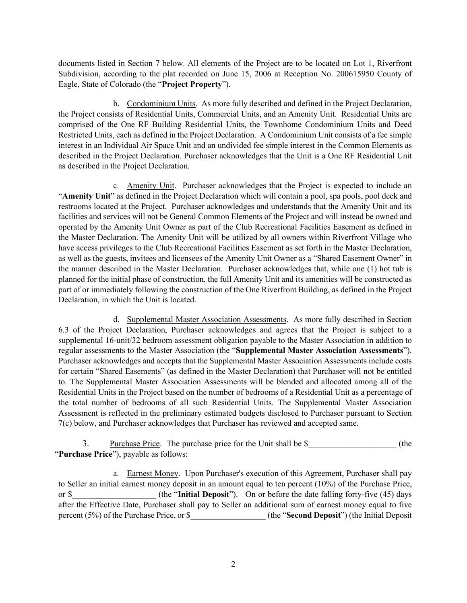documents listed in Section 7 below. All elements of the Project are to be located on Lot 1, Riverfront Subdivision, according to the plat recorded on June 15, 2006 at Reception No. 200615950 County of Eagle, State of Colorado (the "**Project Property**").

b. Condominium Units. As more fully described and defined in the Project Declaration, the Project consists of Residential Units, Commercial Units, and an Amenity Unit.Residential Units are comprised of the One RF Building Residential Units, the Townhome Condominium Units and Deed Restricted Units, each as defined in the Project Declaration. A Condominium Unit consists of a fee simple interest in an Individual Air Space Unit and an undivided fee simple interest in the Common Elements as described in the Project Declaration. Purchaser acknowledges that the Unit is a One RF Residential Unit as described in the Project Declaration.

c. Amenity Unit. Purchaser acknowledges that the Project is expected to include an "**Amenity Unit**" as defined in the Project Declaration which will contain a pool, spa pools, pool deck and restrooms located at the Project. Purchaser acknowledges and understands that the Amenity Unit and its facilities and services will not be General Common Elements of the Project and will instead be owned and operated by the Amenity Unit Owner as part of the Club Recreational Facilities Easement as defined in the Master Declaration. The Amenity Unit will be utilized by all owners within Riverfront Village who have access privileges to the Club Recreational Facilities Easement as set forth in the Master Declaration, as well as the guests, invitees and licensees of the Amenity Unit Owner as a "Shared Easement Owner" in the manner described in the Master Declaration. Purchaser acknowledges that, while one (1) hot tub is planned for the initial phase of construction, the full Amenity Unit and its amenities will be constructed as part of or immediately following the construction of the One Riverfront Building, as defined in the Project Declaration, in which the Unit is located.

d. Supplemental Master Association Assessments. As more fully described in Section 6.3 of the Project Declaration, Purchaser acknowledges and agrees that the Project is subject to a supplemental 16-unit/32 bedroom assessment obligation payable to the Master Association in addition to regular assessments to the Master Association (the "**Supplemental Master Association Assessments**"). Purchaser acknowledges and accepts that the Supplemental Master Association Assessments include costs for certain "Shared Easements" (as defined in the Master Declaration) that Purchaser will not be entitled to. The Supplemental Master Association Assessments will be blended and allocated among all of the Residential Units in the Project based on the number of bedrooms of a Residential Unit as a percentage of the total number of bedrooms of all such Residential Units. The Supplemental Master Association Assessment is reflected in the preliminary estimated budgets disclosed to Purchaser pursuant to Section 7(c) below, and Purchaser acknowledges that Purchaser has reviewed and accepted same.

3. Purchase Price. The purchase price for the Unit shall be \$\_\_\_\_\_\_\_\_\_\_\_\_\_\_\_\_\_\_\_ (the "**Purchase Price**"), payable as follows:

a. Earnest Money. Upon Purchaser's execution of this Agreement, Purchaser shall pay to Seller an initial earnest money deposit in an amount equal to ten percent (10%) of the Purchase Price, or \$\_\_\_\_\_\_\_\_\_\_\_\_\_\_\_\_\_\_\_\_ (the "**Initial Deposit**"). On or before the date falling forty-five (45) days after the Effective Date, Purchaser shall pay to Seller an additional sum of earnest money equal to five percent (5%) of the Purchase Price, or \$\_\_\_\_\_\_\_\_\_\_\_\_\_\_\_\_\_\_ (the "**Second Deposit**") (the Initial Deposit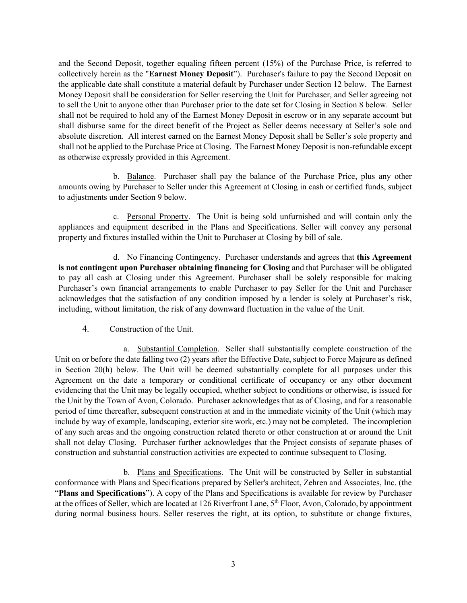and the Second Deposit, together equaling fifteen percent (15%) of the Purchase Price, is referred to collectively herein as the "**Earnest Money Deposit**"). Purchaser's failure to pay the Second Deposit on the applicable date shall constitute a material default by Purchaser under Section 12 below. The Earnest Money Deposit shall be consideration for Seller reserving the Unit for Purchaser, and Seller agreeing not to sell the Unit to anyone other than Purchaser prior to the date set for Closing in Section 8 below. Seller shall not be required to hold any of the Earnest Money Deposit in escrow or in any separate account but shall disburse same for the direct benefit of the Project as Seller deems necessary at Seller's sole and absolute discretion. All interest earned on the Earnest Money Deposit shall be Seller's sole property and shall not be applied to the Purchase Price at Closing. The Earnest Money Deposit is non-refundable except as otherwise expressly provided in this Agreement.

b. Balance. Purchaser shall pay the balance of the Purchase Price, plus any other amounts owing by Purchaser to Seller under this Agreement at Closing in cash or certified funds, subject to adjustments under Section 9 below.

c. Personal Property. The Unit is being sold unfurnished and will contain only the appliances and equipment described in the Plans and Specifications. Seller will convey any personal property and fixtures installed within the Unit to Purchaser at Closing by bill of sale.

d. No Financing Contingency. Purchaser understands and agrees that **this Agreement is not contingent upon Purchaser obtaining financing for Closing** and that Purchaser will be obligated to pay all cash at Closing under this Agreement. Purchaser shall be solely responsible for making Purchaser's own financial arrangements to enable Purchaser to pay Seller for the Unit and Purchaser acknowledges that the satisfaction of any condition imposed by a lender is solely at Purchaser's risk, including, without limitation, the risk of any downward fluctuation in the value of the Unit.

#### 4. Construction of the Unit.

a. Substantial Completion. Seller shall substantially complete construction of the Unit on or before the date falling two (2) years after the Effective Date, subject to Force Majeure as defined in Section 20(h) below. The Unit will be deemed substantially complete for all purposes under this Agreement on the date a temporary or conditional certificate of occupancy or any other document evidencing that the Unit may be legally occupied, whether subject to conditions or otherwise, is issued for the Unit by the Town of Avon, Colorado. Purchaser acknowledges that as of Closing, and for a reasonable period of time thereafter, subsequent construction at and in the immediate vicinity of the Unit (which may include by way of example, landscaping, exterior site work, etc.) may not be completed. The incompletion of any such areas and the ongoing construction related thereto or other construction at or around the Unit shall not delay Closing. Purchaser further acknowledges that the Project consists of separate phases of construction and substantial construction activities are expected to continue subsequent to Closing.

b. Plans and Specifications. The Unit will be constructed by Seller in substantial conformance with Plans and Specifications prepared by Seller's architect, Zehren and Associates, Inc. (the "**Plans and Specifications**"). A copy of the Plans and Specifications is available for review by Purchaser at the offices of Seller, which are located at 126 Riverfront Lane, 5th Floor, Avon, Colorado, by appointment during normal business hours. Seller reserves the right, at its option, to substitute or change fixtures,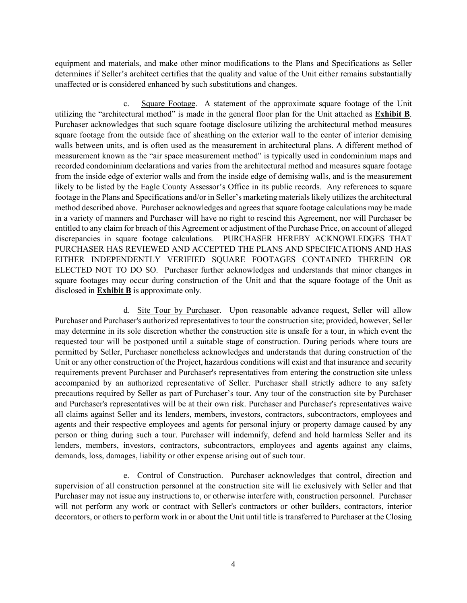equipment and materials, and make other minor modifications to the Plans and Specifications as Seller determines if Seller's architect certifies that the quality and value of the Unit either remains substantially unaffected or is considered enhanced by such substitutions and changes.

c. Square Footage. A statement of the approximate square footage of the Unit utilizing the "architectural method" is made in the general floor plan for the Unit attached as **Exhibit B**. Purchaser acknowledges that such square footage disclosure utilizing the architectural method measures square footage from the outside face of sheathing on the exterior wall to the center of interior demising walls between units, and is often used as the measurement in architectural plans. A different method of measurement known as the "air space measurement method" is typically used in condominium maps and recorded condominium declarations and varies from the architectural method and measures square footage from the inside edge of exterior walls and from the inside edge of demising walls, and is the measurement likely to be listed by the Eagle County Assessor's Office in its public records. Any references to square footage in the Plans and Specifications and/or in Seller's marketing materials likely utilizes the architectural method described above. Purchaser acknowledges and agrees that square footage calculations may be made in a variety of manners and Purchaser will have no right to rescind this Agreement, nor will Purchaser be entitled to any claim for breach of this Agreement or adjustment of the Purchase Price, on account of alleged discrepancies in square footage calculations. PURCHASER HEREBY ACKNOWLEDGES THAT PURCHASER HAS REVIEWED AND ACCEPTED THE PLANS AND SPECIFICATIONS AND HAS EITHER INDEPENDENTLY VERIFIED SQUARE FOOTAGES CONTAINED THEREIN OR ELECTED NOT TO DO SO. Purchaser further acknowledges and understands that minor changes in square footages may occur during construction of the Unit and that the square footage of the Unit as disclosed in **Exhibit B** is approximate only.

d. Site Tour by Purchaser. Upon reasonable advance request, Seller will allow Purchaser and Purchaser's authorized representatives to tour the construction site; provided, however, Seller may determine in its sole discretion whether the construction site is unsafe for a tour, in which event the requested tour will be postponed until a suitable stage of construction. During periods where tours are permitted by Seller, Purchaser nonetheless acknowledges and understands that during construction of the Unit or any other construction of the Project, hazardous conditions will exist and that insurance and security requirements prevent Purchaser and Purchaser's representatives from entering the construction site unless accompanied by an authorized representative of Seller. Purchaser shall strictly adhere to any safety precautions required by Seller as part of Purchaser's tour. Any tour of the construction site by Purchaser and Purchaser's representatives will be at their own risk. Purchaser and Purchaser's representatives waive all claims against Seller and its lenders, members, investors, contractors, subcontractors, employees and agents and their respective employees and agents for personal injury or property damage caused by any person or thing during such a tour. Purchaser will indemnify, defend and hold harmless Seller and its lenders, members, investors, contractors, subcontractors, employees and agents against any claims, demands, loss, damages, liability or other expense arising out of such tour.

e. Control of Construction. Purchaser acknowledges that control, direction and supervision of all construction personnel at the construction site will lie exclusively with Seller and that Purchaser may not issue any instructions to, or otherwise interfere with, construction personnel. Purchaser will not perform any work or contract with Seller's contractors or other builders, contractors, interior decorators, or others to perform work in or about the Unit until title is transferred to Purchaser at the Closing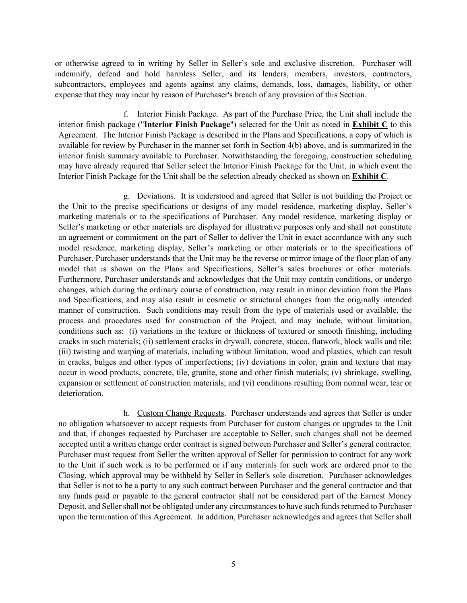or otherwise agreed to in writing by Seller in Seller's sole and exclusive discretion. Purchaser will indemnify, defend and hold harmless Seller, and its lenders, members, investors, contractors, subcontractors, employees and agents against any claims, demands, loss, damages, liability, or other expense that they may incur by reason of Purchaser's breach of any provision of this Section.

f. Interior Finish Package. As part of the Purchase Price, the Unit shall include the interior finish package ("**Interior Finish Package**") selected for the Unit as noted in **Exhibit C** to this Agreement. The Interior Finish Package is described in the Plans and Specifications, a copy of which is available for review by Purchaser in the manner set forth in Section 4(b) above, and is summarized in the interior finish summary available to Purchaser. Notwithstanding the foregoing, construction scheduling may have already required that Seller select the Interior Finish Package for the Unit, in which event the Interior Finish Package for the Unit shall be the selection already checked as shown on **Exhibit C**.

g. Deviations. It is understood and agreed that Seller is not building the Project or the Unit to the precise specifications or designs of any model residence, marketing display, Seller's marketing materials or to the specifications of Purchaser. Any model residence, marketing display or Seller's marketing or other materials are displayed for illustrative purposes only and shall not constitute an agreement or commitment on the part of Seller to deliver the Unit in exact accordance with any such model residence, marketing display, Seller's marketing or other materials or to the specifications of Purchaser. Purchaser understands that the Unit may be the reverse or mirror image of the floor plan of any model that is shown on the Plans and Specifications, Seller's sales brochures or other materials. Furthermore, Purchaser understands and acknowledges that the Unit may contain conditions, or undergo changes, which during the ordinary course of construction, may result in minor deviation from the Plans and Specifications, and may also result in cosmetic or structural changes from the originally intended manner of construction. Such conditions may result from the type of materials used or available, the process and procedures used for construction of the Project, and may include, without limitation, conditions such as: (i) variations in the texture or thickness of textured or smooth finishing, including cracks in such materials; (ii) settlement cracks in drywall, concrete, stucco, flatwork, block walls and tile; (iii) twisting and warping of materials, including without limitation, wood and plastics, which can result in cracks, bulges and other types of imperfections; (iv) deviations in color, grain and texture that may occur in wood products, concrete, tile, granite, stone and other finish materials; (v) shrinkage, swelling, expansion or settlement of construction materials; and (vi) conditions resulting from normal wear, tear or deterioration.

h. Custom Change Requests. Purchaser understands and agrees that Seller is under no obligation whatsoever to accept requests from Purchaser for custom changes or upgrades to the Unit and that, if changes requested by Purchaser are acceptable to Seller, such changes shall not be deemed accepted until a written change order contract is signed between Purchaser and Seller's general contractor. Purchaser must request from Seller the written approval of Seller for permission to contract for any work to the Unit if such work is to be performed or if any materials for such work are ordered prior to the Closing, which approval may be withheld by Seller in Seller's sole discretion. Purchaser acknowledges that Seller is not to be a party to any such contract between Purchaser and the general contractor and that any funds paid or payable to the general contractor shall not be considered part of the Earnest Money Deposit, and Seller shall not be obligated under any circumstances to have such funds returned to Purchaser upon the termination of this Agreement. In addition, Purchaser acknowledges and agrees that Seller shall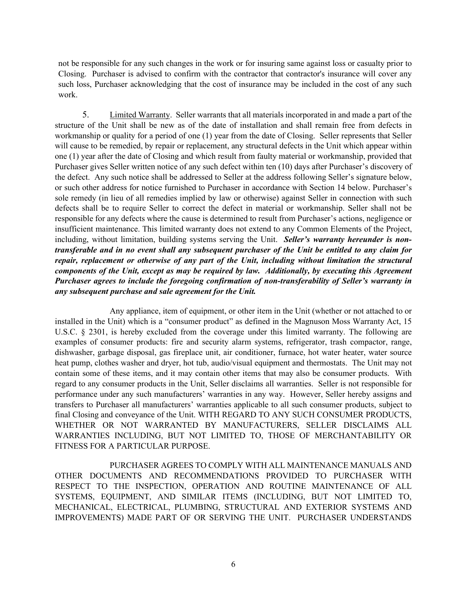not be responsible for any such changes in the work or for insuring same against loss or casualty prior to Closing. Purchaser is advised to confirm with the contractor that contractor's insurance will cover any such loss, Purchaser acknowledging that the cost of insurance may be included in the cost of any such work.

5. Limited Warranty. Seller warrants that all materials incorporated in and made a part of the structure of the Unit shall be new as of the date of installation and shall remain free from defects in workmanship or quality for a period of one (1) year from the date of Closing. Seller represents that Seller will cause to be remedied, by repair or replacement, any structural defects in the Unit which appear within one (1) year after the date of Closing and which result from faulty material or workmanship, provided that Purchaser gives Seller written notice of any such defect within ten (10) days after Purchaser's discovery of the defect. Any such notice shall be addressed to Seller at the address following Seller's signature below, or such other address for notice furnished to Purchaser in accordance with Section 14 below. Purchaser's sole remedy (in lieu of all remedies implied by law or otherwise) against Seller in connection with such defects shall be to require Seller to correct the defect in material or workmanship. Seller shall not be responsible for any defects where the cause is determined to result from Purchaser's actions, negligence or insufficient maintenance. This limited warranty does not extend to any Common Elements of the Project, including, without limitation, building systems serving the Unit. *Seller's warranty hereunder is nontransferable and in no event shall any subsequent purchaser of the Unit be entitled to any claim for repair, replacement or otherwise of any part of the Unit, including without limitation the structural components of the Unit, except as may be required by law. Additionally, by executing this Agreement Purchaser agrees to include the foregoing confirmation of non-transferability of Seller's warranty in any subsequent purchase and sale agreement for the Unit.* 

Any appliance, item of equipment, or other item in the Unit (whether or not attached to or installed in the Unit) which is a "consumer product" as defined in the Magnuson Moss Warranty Act, 15 U.S.C. § 2301, is hereby excluded from the coverage under this limited warranty. The following are examples of consumer products: fire and security alarm systems, refrigerator, trash compactor, range, dishwasher, garbage disposal, gas fireplace unit, air conditioner, furnace, hot water heater, water source heat pump, clothes washer and dryer, hot tub, audio/visual equipment and thermostats. The Unit may not contain some of these items, and it may contain other items that may also be consumer products. With regard to any consumer products in the Unit, Seller disclaims all warranties. Seller is not responsible for performance under any such manufacturers' warranties in any way. However, Seller hereby assigns and transfers to Purchaser all manufacturers' warranties applicable to all such consumer products, subject to final Closing and conveyance of the Unit. WITH REGARD TO ANY SUCH CONSUMER PRODUCTS, WHETHER OR NOT WARRANTED BY MANUFACTURERS, SELLER DISCLAIMS ALL WARRANTIES INCLUDING, BUT NOT LIMITED TO, THOSE OF MERCHANTABILITY OR FITNESS FOR A PARTICULAR PURPOSE.

PURCHASER AGREES TO COMPLY WITH ALL MAINTENANCE MANUALS AND OTHER DOCUMENTS AND RECOMMENDATIONS PROVIDED TO PURCHASER WITH RESPECT TO THE INSPECTION, OPERATION AND ROUTINE MAINTENANCE OF ALL SYSTEMS, EQUIPMENT, AND SIMILAR ITEMS (INCLUDING, BUT NOT LIMITED TO, MECHANICAL, ELECTRICAL, PLUMBING, STRUCTURAL AND EXTERIOR SYSTEMS AND IMPROVEMENTS) MADE PART OF OR SERVING THE UNIT. PURCHASER UNDERSTANDS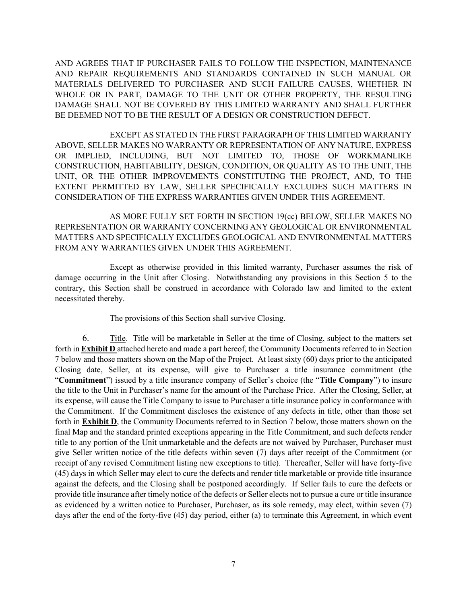AND AGREES THAT IF PURCHASER FAILS TO FOLLOW THE INSPECTION, MAINTENANCE AND REPAIR REQUIREMENTS AND STANDARDS CONTAINED IN SUCH MANUAL OR MATERIALS DELIVERED TO PURCHASER AND SUCH FAILURE CAUSES, WHETHER IN WHOLE OR IN PART, DAMAGE TO THE UNIT OR OTHER PROPERTY, THE RESULTING DAMAGE SHALL NOT BE COVERED BY THIS LIMITED WARRANTY AND SHALL FURTHER BE DEEMED NOT TO BE THE RESULT OF A DESIGN OR CONSTRUCTION DEFECT.

EXCEPT AS STATED IN THE FIRST PARAGRAPH OF THIS LIMITED WARRANTY ABOVE, SELLER MAKES NO WARRANTY OR REPRESENTATION OF ANY NATURE, EXPRESS OR IMPLIED, INCLUDING, BUT NOT LIMITED TO, THOSE OF WORKMANLIKE CONSTRUCTION, HABITABILITY, DESIGN, CONDITION, OR QUALITY AS TO THE UNIT, THE UNIT, OR THE OTHER IMPROVEMENTS CONSTITUTING THE PROJECT, AND, TO THE EXTENT PERMITTED BY LAW, SELLER SPECIFICALLY EXCLUDES SUCH MATTERS IN CONSIDERATION OF THE EXPRESS WARRANTIES GIVEN UNDER THIS AGREEMENT.

AS MORE FULLY SET FORTH IN SECTION 19(cc) BELOW, SELLER MAKES NO REPRESENTATION OR WARRANTY CONCERNING ANY GEOLOGICAL OR ENVIRONMENTAL MATTERS AND SPECIFICALLY EXCLUDES GEOLOGICAL AND ENVIRONMENTAL MATTERS FROM ANY WARRANTIES GIVEN UNDER THIS AGREEMENT.

Except as otherwise provided in this limited warranty, Purchaser assumes the risk of damage occurring in the Unit after Closing. Notwithstanding any provisions in this Section 5 to the contrary, this Section shall be construed in accordance with Colorado law and limited to the extent necessitated thereby.

The provisions of this Section shall survive Closing.

6. Title. Title will be marketable in Seller at the time of Closing, subject to the matters set forth in **Exhibit D** attached hereto and made a part hereof, the Community Documents referred to in Section 7 below and those matters shown on the Map of the Project. At least sixty (60) days prior to the anticipated Closing date, Seller, at its expense, will give to Purchaser a title insurance commitment (the "**Commitment**") issued by a title insurance company of Seller's choice (the "**Title Company**") to insure the title to the Unit in Purchaser's name for the amount of the Purchase Price. After the Closing, Seller, at its expense, will cause the Title Company to issue to Purchaser a title insurance policy in conformance with the Commitment. If the Commitment discloses the existence of any defects in title, other than those set forth in **Exhibit D**, the Community Documents referred to in Section 7 below, those matters shown on the final Map and the standard printed exceptions appearing in the Title Commitment, and such defects render title to any portion of the Unit unmarketable and the defects are not waived by Purchaser, Purchaser must give Seller written notice of the title defects within seven (7) days after receipt of the Commitment (or receipt of any revised Commitment listing new exceptions to title). Thereafter, Seller will have forty-five (45) days in which Seller may elect to cure the defects and render title marketable or provide title insurance against the defects, and the Closing shall be postponed accordingly. If Seller fails to cure the defects or provide title insurance after timely notice of the defects or Seller elects not to pursue a cure or title insurance as evidenced by a written notice to Purchaser, Purchaser, as its sole remedy, may elect, within seven (7) days after the end of the forty-five (45) day period, either (a) to terminate this Agreement, in which event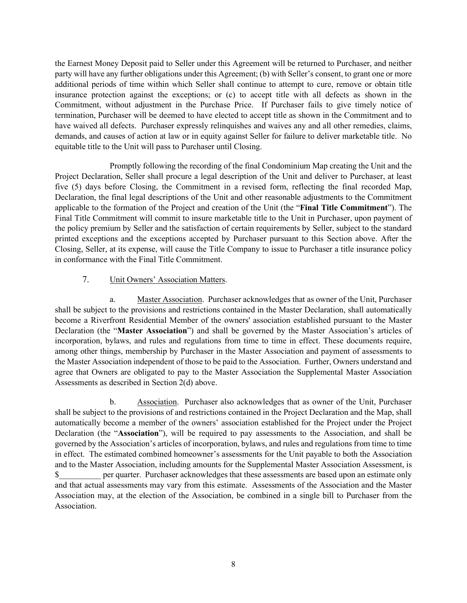the Earnest Money Deposit paid to Seller under this Agreement will be returned to Purchaser, and neither party will have any further obligations under this Agreement; (b) with Seller's consent, to grant one or more additional periods of time within which Seller shall continue to attempt to cure, remove or obtain title insurance protection against the exceptions; or (c) to accept title with all defects as shown in the Commitment, without adjustment in the Purchase Price. If Purchaser fails to give timely notice of termination, Purchaser will be deemed to have elected to accept title as shown in the Commitment and to have waived all defects. Purchaser expressly relinquishes and waives any and all other remedies, claims, demands, and causes of action at law or in equity against Seller for failure to deliver marketable title. No equitable title to the Unit will pass to Purchaser until Closing.

Promptly following the recording of the final Condominium Map creating the Unit and the Project Declaration, Seller shall procure a legal description of the Unit and deliver to Purchaser, at least five (5) days before Closing, the Commitment in a revised form, reflecting the final recorded Map, Declaration, the final legal descriptions of the Unit and other reasonable adjustments to the Commitment applicable to the formation of the Project and creation of the Unit (the "**Final Title Commitment**"). The Final Title Commitment will commit to insure marketable title to the Unit in Purchaser, upon payment of the policy premium by Seller and the satisfaction of certain requirements by Seller, subject to the standard printed exceptions and the exceptions accepted by Purchaser pursuant to this Section above. After the Closing, Seller, at its expense, will cause the Title Company to issue to Purchaser a title insurance policy in conformance with the Final Title Commitment.

#### 7. Unit Owners' Association Matters.

a. Master Association. Purchaser acknowledges that as owner of the Unit, Purchaser shall be subject to the provisions and restrictions contained in the Master Declaration, shall automatically become a Riverfront Residential Member of the owners' association established pursuant to the Master Declaration (the "**Master Association**") and shall be governed by the Master Association's articles of incorporation, bylaws, and rules and regulations from time to time in effect. These documents require, among other things, membership by Purchaser in the Master Association and payment of assessments to the Master Association independent of those to be paid to the Association. Further, Owners understand and agree that Owners are obligated to pay to the Master Association the Supplemental Master Association Assessments as described in Section 2(d) above.

b. Association. Purchaser also acknowledges that as owner of the Unit, Purchaser shall be subject to the provisions of and restrictions contained in the Project Declaration and the Map, shall automatically become a member of the owners' association established for the Project under the Project Declaration (the "**Association**"), will be required to pay assessments to the Association, and shall be governed by the Association's articles of incorporation, bylaws, and rules and regulations from time to time in effect. The estimated combined homeowner's assessments for the Unit payable to both the Association and to the Master Association, including amounts for the Supplemental Master Association Assessment, is \$ per quarter. Purchaser acknowledges that these assessments are based upon an estimate only and that actual assessments may vary from this estimate. Assessments of the Association and the Master Association may, at the election of the Association, be combined in a single bill to Purchaser from the Association.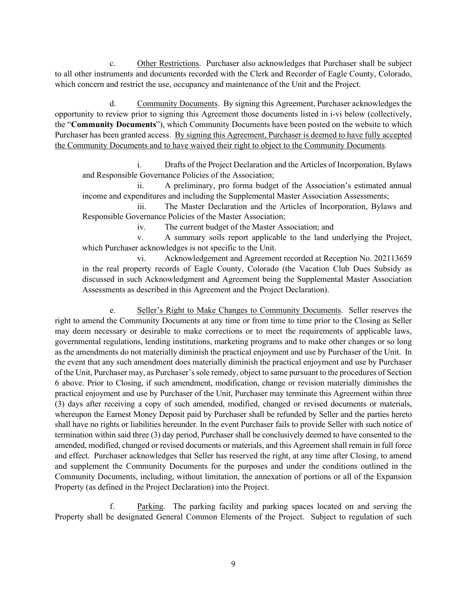c. Other Restrictions. Purchaser also acknowledges that Purchaser shall be subject to all other instruments and documents recorded with the Clerk and Recorder of Eagle County, Colorado, which concern and restrict the use, occupancy and maintenance of the Unit and the Project.

d. Community Documents. By signing this Agreement, Purchaser acknowledges the opportunity to review prior to signing this Agreement those documents listed in i-vi below (collectively, the "**Community Documents**"), which Community Documents have been posted on the website to which Purchaser has been granted access. By signing this Agreement, Purchaser is deemed to have fully accepted the Community Documents and to have waived their right to object to the Community Documents.

i. Drafts of the Project Declaration and the Articles of Incorporation, Bylaws and Responsible Governance Policies of the Association;

ii. A preliminary, pro forma budget of the Association's estimated annual income and expenditures and including the Supplemental Master Association Assessments;

iii. The Master Declaration and the Articles of Incorporation, Bylaws and Responsible Governance Policies of the Master Association;

iv. The current budget of the Master Association; and

v. A summary soils report applicable to the land underlying the Project, which Purchaser acknowledges is not specific to the Unit.

vi. Acknowledgement and Agreement recorded at Reception No. 202113659 in the real property records of Eagle County, Colorado (the Vacation Club Dues Subsidy as discussed in such Acknowledgment and Agreement being the Supplemental Master Association Assessments as described in this Agreement and the Project Declaration).

e. Seller's Right to Make Changes to Community Documents. Seller reserves the right to amend the Community Documents at any time or from time to time prior to the Closing as Seller may deem necessary or desirable to make corrections or to meet the requirements of applicable laws, governmental regulations, lending institutions, marketing programs and to make other changes or so long as the amendments do not materially diminish the practical enjoyment and use by Purchaser of the Unit. In the event that any such amendment does materially diminish the practical enjoyment and use by Purchaser of the Unit, Purchaser may, as Purchaser's sole remedy, object to same pursuant to the procedures of Section 6 above. Prior to Closing, if such amendment, modification, change or revision materially diminishes the practical enjoyment and use by Purchaser of the Unit, Purchaser may terminate this Agreement within three (3) days after receiving a copy of such amended, modified, changed or revised documents or materials, whereupon the Earnest Money Deposit paid by Purchaser shall be refunded by Seller and the parties hereto shall have no rights or liabilities hereunder. In the event Purchaser fails to provide Seller with such notice of termination within said three (3) day period, Purchaser shall be conclusively deemed to have consented to the amended, modified, changed or revised documents or materials, and this Agreement shall remain in full force and effect. Purchaser acknowledges that Seller has reserved the right, at any time after Closing, to amend and supplement the Community Documents for the purposes and under the conditions outlined in the Community Documents, including, without limitation, the annexation of portions or all of the Expansion Property (as defined in the Project Declaration) into the Project.

f. Parking. The parking facility and parking spaces located on and serving the Property shall be designated General Common Elements of the Project. Subject to regulation of such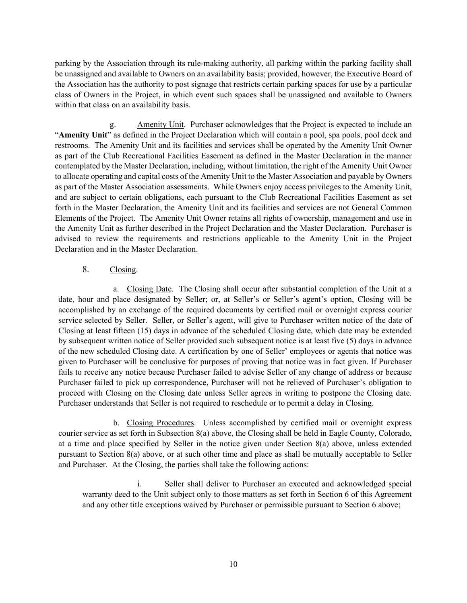parking by the Association through its rule-making authority, all parking within the parking facility shall be unassigned and available to Owners on an availability basis; provided, however, the Executive Board of the Association has the authority to post signage that restricts certain parking spaces for use by a particular class of Owners in the Project, in which event such spaces shall be unassigned and available to Owners within that class on an availability basis.

g. Amenity Unit. Purchaser acknowledges that the Project is expected to include an "**Amenity Unit**" as defined in the Project Declaration which will contain a pool, spa pools, pool deck and restrooms. The Amenity Unit and its facilities and services shall be operated by the Amenity Unit Owner as part of the Club Recreational Facilities Easement as defined in the Master Declaration in the manner contemplated by the Master Declaration, including, without limitation, the right of the Amenity Unit Owner to allocate operating and capital costs of the Amenity Unit to the Master Association and payable by Owners as part of the Master Association assessments. While Owners enjoy access privileges to the Amenity Unit, and are subject to certain obligations, each pursuant to the Club Recreational Facilities Easement as set forth in the Master Declaration, the Amenity Unit and its facilities and services are not General Common Elements of the Project. The Amenity Unit Owner retains all rights of ownership, management and use in the Amenity Unit as further described in the Project Declaration and the Master Declaration. Purchaser is advised to review the requirements and restrictions applicable to the Amenity Unit in the Project Declaration and in the Master Declaration.

# 8. Closing.

a. Closing Date. The Closing shall occur after substantial completion of the Unit at a date, hour and place designated by Seller; or, at Seller's or Seller's agent's option, Closing will be accomplished by an exchange of the required documents by certified mail or overnight express courier service selected by Seller. Seller, or Seller's agent, will give to Purchaser written notice of the date of Closing at least fifteen (15) days in advance of the scheduled Closing date, which date may be extended by subsequent written notice of Seller provided such subsequent notice is at least five (5) days in advance of the new scheduled Closing date. A certification by one of Seller' employees or agents that notice was given to Purchaser will be conclusive for purposes of proving that notice was in fact given. If Purchaser fails to receive any notice because Purchaser failed to advise Seller of any change of address or because Purchaser failed to pick up correspondence, Purchaser will not be relieved of Purchaser's obligation to proceed with Closing on the Closing date unless Seller agrees in writing to postpone the Closing date. Purchaser understands that Seller is not required to reschedule or to permit a delay in Closing.

b. Closing Procedures. Unless accomplished by certified mail or overnight express courier service as set forth in Subsection 8(a) above, the Closing shall be held in Eagle County, Colorado, at a time and place specified by Seller in the notice given under Section 8(a) above, unless extended pursuant to Section 8(a) above, or at such other time and place as shall be mutually acceptable to Seller and Purchaser. At the Closing, the parties shall take the following actions:

i. Seller shall deliver to Purchaser an executed and acknowledged special warranty deed to the Unit subject only to those matters as set forth in Section 6 of this Agreement and any other title exceptions waived by Purchaser or permissible pursuant to Section 6 above;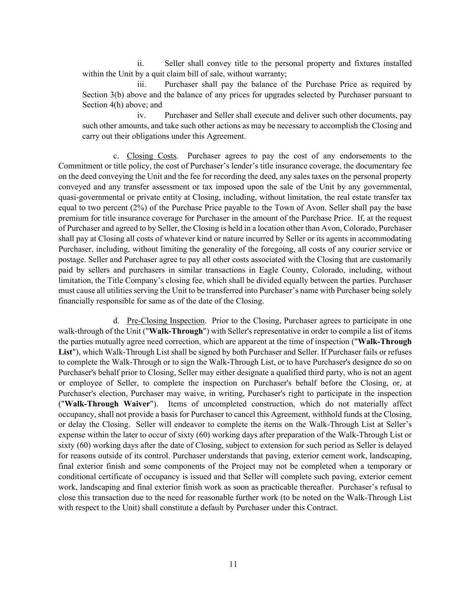ii. Seller shall convey title to the personal property and fixtures installed within the Unit by a quit claim bill of sale, without warranty;

iii. Purchaser shall pay the balance of the Purchase Price as required by Section 3(b) above and the balance of any prices for upgrades selected by Purchaser pursuant to Section 4(h) above; and

iv. Purchaser and Seller shall execute and deliver such other documents, pay such other amounts, and take such other actions as may be necessary to accomplish the Closing and carry out their obligations under this Agreement.

c. Closing Costs. Purchaser agrees to pay the cost of any endorsements to the Commitment or title policy, the cost of Purchaser's lender's title insurance coverage, the documentary fee on the deed conveying the Unit and the fee for recording the deed, any sales taxes on the personal property conveyed and any transfer assessment or tax imposed upon the sale of the Unit by any governmental, quasi-governmental or private entity at Closing, including, without limitation, the real estate transfer tax equal to two percent (2%) of the Purchase Price payable to the Town of Avon. Seller shall pay the base premium for title insurance coverage for Purchaser in the amount of the Purchase Price. If, at the request of Purchaser and agreed to by Seller, the Closing is held in a location other than Avon, Colorado, Purchaser shall pay at Closing all costs of whatever kind or nature incurred by Seller or its agents in accommodating Purchaser, including, without limiting the generality of the foregoing, all costs of any courier service or postage. Seller and Purchaser agree to pay all other costs associated with the Closing that are customarily paid by sellers and purchasers in similar transactions in Eagle County, Colorado, including, without limitation, the Title Company's closing fee, which shall be divided equally between the parties. Purchaser must cause all utilities serving the Unit to be transferred into Purchaser's name with Purchaser being solely financially responsible for same as of the date of the Closing.

d. Pre-Closing Inspection.Prior to the Closing, Purchaser agrees to participate in one walk-through of the Unit ("**Walk-Through**") with Seller's representative in order to compile a list of items the parties mutually agree need correction, which are apparent at the time of inspection ("**Walk-Through List**"), which Walk-Through List shall be signed by both Purchaser and Seller. If Purchaser fails or refuses to complete the Walk-Through or to sign the Walk-Through List, or to have Purchaser's designee do so on Purchaser's behalf prior to Closing, Seller may either designate a qualified third party, who is not an agent or employee of Seller, to complete the inspection on Purchaser's behalf before the Closing, or, at Purchaser's election, Purchaser may waive, in writing, Purchaser's right to participate in the inspection ("**Walk-Through Waiver**"). Items of uncompleted construction, which do not materially affect occupancy, shall not provide a basis for Purchaser to cancel this Agreement, withhold funds at the Closing, or delay the Closing. Seller will endeavor to complete the items on the Walk-Through List at Seller's expense within the later to occur of sixty (60) working days after preparation of the Walk-Through List or sixty (60) working days after the date of Closing, subject to extension for such period as Seller is delayed for reasons outside of its control. Purchaser understands that paving, exterior cement work, landscaping, final exterior finish and some components of the Project may not be completed when a temporary or conditional certificate of occupancy is issued and that Seller will complete such paving, exterior cement work, landscaping and final exterior finish work as soon as practicable thereafter. Purchaser's refusal to close this transaction due to the need for reasonable further work (to be noted on the Walk-Through List with respect to the Unit) shall constitute a default by Purchaser under this Contract.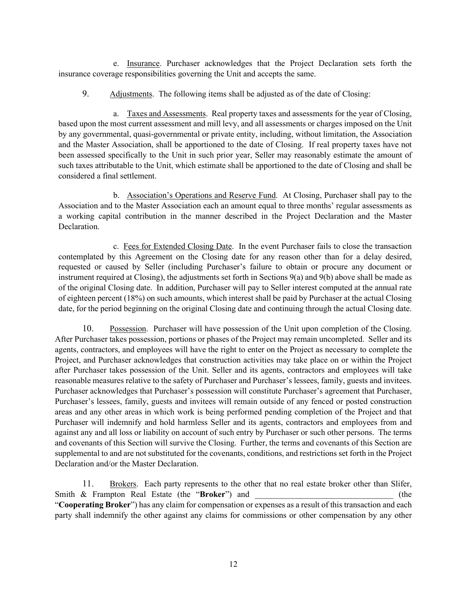e. Insurance. Purchaser acknowledges that the Project Declaration sets forth the insurance coverage responsibilities governing the Unit and accepts the same.

9. Adjustments. The following items shall be adjusted as of the date of Closing:

a. Taxes and Assessments. Real property taxes and assessments for the year of Closing, based upon the most current assessment and mill levy, and all assessments or charges imposed on the Unit by any governmental, quasi-governmental or private entity, including, without limitation, the Association and the Master Association, shall be apportioned to the date of Closing. If real property taxes have not been assessed specifically to the Unit in such prior year, Seller may reasonably estimate the amount of such taxes attributable to the Unit, which estimate shall be apportioned to the date of Closing and shall be considered a final settlement.

b. Association's Operations and Reserve Fund. At Closing, Purchaser shall pay to the Association and to the Master Association each an amount equal to three months' regular assessments as a working capital contribution in the manner described in the Project Declaration and the Master Declaration.

c. Fees for Extended Closing Date. In the event Purchaser fails to close the transaction contemplated by this Agreement on the Closing date for any reason other than for a delay desired, requested or caused by Seller (including Purchaser's failure to obtain or procure any document or instrument required at Closing), the adjustments set forth in Sections 9(a) and 9(b) above shall be made as of the original Closing date. In addition, Purchaser will pay to Seller interest computed at the annual rate of eighteen percent (18%) on such amounts, which interest shall be paid by Purchaser at the actual Closing date, for the period beginning on the original Closing date and continuing through the actual Closing date.

10. Possession. Purchaser will have possession of the Unit upon completion of the Closing. After Purchaser takes possession, portions or phases of the Project may remain uncompleted. Seller and its agents, contractors, and employees will have the right to enter on the Project as necessary to complete the Project, and Purchaser acknowledges that construction activities may take place on or within the Project after Purchaser takes possession of the Unit. Seller and its agents, contractors and employees will take reasonable measures relative to the safety of Purchaser and Purchaser's lessees, family, guests and invitees. Purchaser acknowledges that Purchaser's possession will constitute Purchaser's agreement that Purchaser, Purchaser's lessees, family, guests and invitees will remain outside of any fenced or posted construction areas and any other areas in which work is being performed pending completion of the Project and that Purchaser will indemnify and hold harmless Seller and its agents, contractors and employees from and against any and all loss or liability on account of such entry by Purchaser or such other persons. The terms and covenants of this Section will survive the Closing. Further, the terms and covenants of this Section are supplemental to and are not substituted for the covenants, conditions, and restrictions set forth in the Project Declaration and/or the Master Declaration.

11. Brokers. Each party represents to the other that no real estate broker other than Slifer, Smith & Frampton Real Estate (the "**Broker**") and  $($  (the "**Cooperating Broker**") has any claim for compensation or expenses as a result of this transaction and each party shall indemnify the other against any claims for commissions or other compensation by any other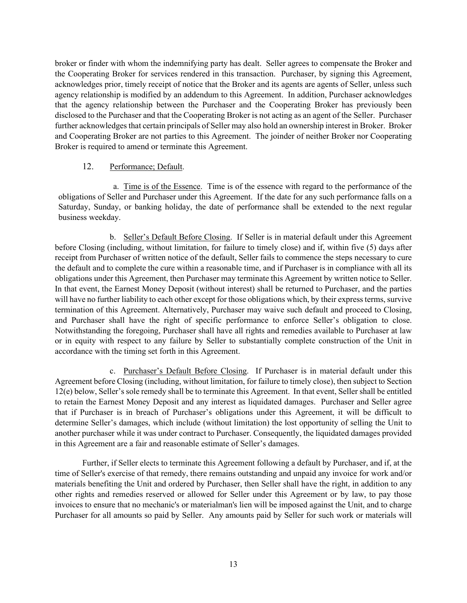broker or finder with whom the indemnifying party has dealt. Seller agrees to compensate the Broker and the Cooperating Broker for services rendered in this transaction. Purchaser, by signing this Agreement, acknowledges prior, timely receipt of notice that the Broker and its agents are agents of Seller, unless such agency relationship is modified by an addendum to this Agreement. In addition, Purchaser acknowledges that the agency relationship between the Purchaser and the Cooperating Broker has previously been disclosed to the Purchaser and that the Cooperating Broker is not acting as an agent of the Seller. Purchaser further acknowledges that certain principals of Seller may also hold an ownership interest in Broker. Broker and Cooperating Broker are not parties to this Agreement. The joinder of neither Broker nor Cooperating Broker is required to amend or terminate this Agreement.

#### 12. Performance; Default.

a. Time is of the Essence. Time is of the essence with regard to the performance of the obligations of Seller and Purchaser under this Agreement. If the date for any such performance falls on a Saturday, Sunday, or banking holiday, the date of performance shall be extended to the next regular business weekday.

b. Seller's Default Before Closing. If Seller is in material default under this Agreement before Closing (including, without limitation, for failure to timely close) and if, within five (5) days after receipt from Purchaser of written notice of the default, Seller fails to commence the steps necessary to cure the default and to complete the cure within a reasonable time, and if Purchaser is in compliance with all its obligations under this Agreement, then Purchaser may terminate this Agreement by written notice to Seller. In that event, the Earnest Money Deposit (without interest) shall be returned to Purchaser, and the parties will have no further liability to each other except for those obligations which, by their express terms, survive termination of this Agreement. Alternatively, Purchaser may waive such default and proceed to Closing, and Purchaser shall have the right of specific performance to enforce Seller's obligation to close. Notwithstanding the foregoing, Purchaser shall have all rights and remedies available to Purchaser at law or in equity with respect to any failure by Seller to substantially complete construction of the Unit in accordance with the timing set forth in this Agreement.

c. Purchaser's Default Before Closing. If Purchaser is in material default under this Agreement before Closing (including, without limitation, for failure to timely close), then subject to Section 12(e) below, Seller's sole remedy shall be to terminate this Agreement. In that event, Seller shall be entitled to retain the Earnest Money Deposit and any interest as liquidated damages. Purchaser and Seller agree that if Purchaser is in breach of Purchaser's obligations under this Agreement, it will be difficult to determine Seller's damages, which include (without limitation) the lost opportunity of selling the Unit to another purchaser while it was under contract to Purchaser. Consequently, the liquidated damages provided in this Agreement are a fair and reasonable estimate of Seller's damages.

Further, if Seller elects to terminate this Agreement following a default by Purchaser, and if, at the time of Seller's exercise of that remedy, there remains outstanding and unpaid any invoice for work and/or materials benefiting the Unit and ordered by Purchaser, then Seller shall have the right, in addition to any other rights and remedies reserved or allowed for Seller under this Agreement or by law, to pay those invoices to ensure that no mechanic's or materialman's lien will be imposed against the Unit, and to charge Purchaser for all amounts so paid by Seller. Any amounts paid by Seller for such work or materials will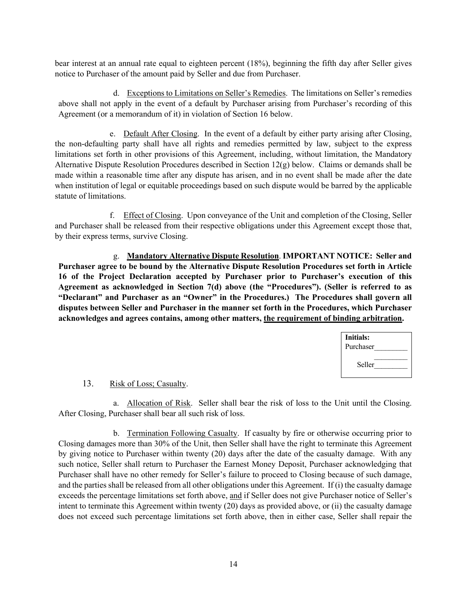bear interest at an annual rate equal to eighteen percent (18%), beginning the fifth day after Seller gives notice to Purchaser of the amount paid by Seller and due from Purchaser.

d. Exceptions to Limitations on Seller's Remedies. The limitations on Seller's remedies above shall not apply in the event of a default by Purchaser arising from Purchaser's recording of this Agreement (or a memorandum of it) in violation of Section 16 below.

e. Default After Closing. In the event of a default by either party arising after Closing, the non-defaulting party shall have all rights and remedies permitted by law, subject to the express limitations set forth in other provisions of this Agreement, including, without limitation, the Mandatory Alternative Dispute Resolution Procedures described in Section 12(g) below. Claims or demands shall be made within a reasonable time after any dispute has arisen, and in no event shall be made after the date when institution of legal or equitable proceedings based on such dispute would be barred by the applicable statute of limitations.

f. Effect of Closing. Upon conveyance of the Unit and completion of the Closing, Seller and Purchaser shall be released from their respective obligations under this Agreement except those that, by their express terms, survive Closing.

g. **Mandatory Alternative Dispute Resolution**. **IMPORTANT NOTICE: Seller and Purchaser agree to be bound by the Alternative Dispute Resolution Procedures set forth in Article 16 of the Project Declaration accepted by Purchaser prior to Purchaser's execution of this Agreement as acknowledged in Section 7(d) above (the "Procedures"). (Seller is referred to as "Declarant" and Purchaser as an "Owner" in the Procedures.) The Procedures shall govern all disputes between Seller and Purchaser in the manner set forth in the Procedures, which Purchaser acknowledges and agrees contains, among other matters, the requirement of binding arbitration.**

| Initials:<br>Purchaser |  |
|------------------------|--|
| Seller                 |  |

# 13. Risk of Loss; Casualty.

a. Allocation of Risk. Seller shall bear the risk of loss to the Unit until the Closing. After Closing, Purchaser shall bear all such risk of loss.

b. Termination Following Casualty. If casualty by fire or otherwise occurring prior to Closing damages more than 30% of the Unit, then Seller shall have the right to terminate this Agreement by giving notice to Purchaser within twenty (20) days after the date of the casualty damage. With any such notice, Seller shall return to Purchaser the Earnest Money Deposit, Purchaser acknowledging that Purchaser shall have no other remedy for Seller's failure to proceed to Closing because of such damage, and the parties shall be released from all other obligations under this Agreement. If (i) the casualty damage exceeds the percentage limitations set forth above, and if Seller does not give Purchaser notice of Seller's intent to terminate this Agreement within twenty (20) days as provided above, or (ii) the casualty damage does not exceed such percentage limitations set forth above, then in either case, Seller shall repair the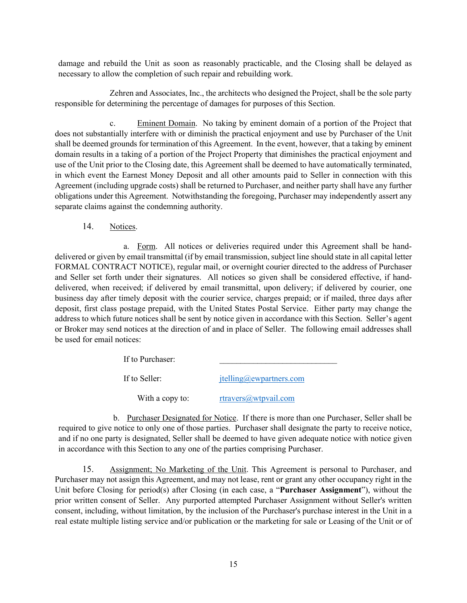damage and rebuild the Unit as soon as reasonably practicable, and the Closing shall be delayed as necessary to allow the completion of such repair and rebuilding work.

Zehren and Associates, Inc., the architects who designed the Project, shall be the sole party responsible for determining the percentage of damages for purposes of this Section.

c. Eminent Domain. No taking by eminent domain of a portion of the Project that does not substantially interfere with or diminish the practical enjoyment and use by Purchaser of the Unit shall be deemed grounds for termination of this Agreement. In the event, however, that a taking by eminent domain results in a taking of a portion of the Project Property that diminishes the practical enjoyment and use of the Unit prior to the Closing date, this Agreement shall be deemed to have automatically terminated, in which event the Earnest Money Deposit and all other amounts paid to Seller in connection with this Agreement (including upgrade costs) shall be returned to Purchaser, and neither party shall have any further obligations under this Agreement. Notwithstanding the foregoing, Purchaser may independently assert any separate claims against the condemning authority.

14. Notices.

a. Form. All notices or deliveries required under this Agreement shall be handdelivered or given by email transmittal (if by email transmission, subject line should state in all capital letter FORMAL CONTRACT NOTICE), regular mail, or overnight courier directed to the address of Purchaser and Seller set forth under their signatures. All notices so given shall be considered effective, if handdelivered, when received; if delivered by email transmittal, upon delivery; if delivered by courier, one business day after timely deposit with the courier service, charges prepaid; or if mailed, three days after deposit, first class postage prepaid, with the United States Postal Service. Either party may change the address to which future notices shall be sent by notice given in accordance with this Section. Seller's agent or Broker may send notices at the direction of and in place of Seller. The following email addresses shall be used for email notices:

> If to Purchaser: If to Seller: [jtelling@ewpartners.com](mailto:jtelling@ewpartners.com) With a copy to:  $r\frac{travers@/wtpval.com}{r\frac{travers@/wtpval.com}{r\frac{travers@/wtpval}}$

b. Purchaser Designated for Notice. If there is more than one Purchaser, Seller shall be required to give notice to only one of those parties. Purchaser shall designate the party to receive notice, and if no one party is designated, Seller shall be deemed to have given adequate notice with notice given in accordance with this Section to any one of the parties comprising Purchaser.

15. Assignment; No Marketing of the Unit. This Agreement is personal to Purchaser, and Purchaser may not assign this Agreement, and may not lease, rent or grant any other occupancy right in the Unit before Closing for period(s) after Closing (in each case, a "**Purchaser Assignment**"), without the prior written consent of Seller. Any purported attempted Purchaser Assignment without Seller's written consent, including, without limitation, by the inclusion of the Purchaser's purchase interest in the Unit in a real estate multiple listing service and/or publication or the marketing for sale or Leasing of the Unit or of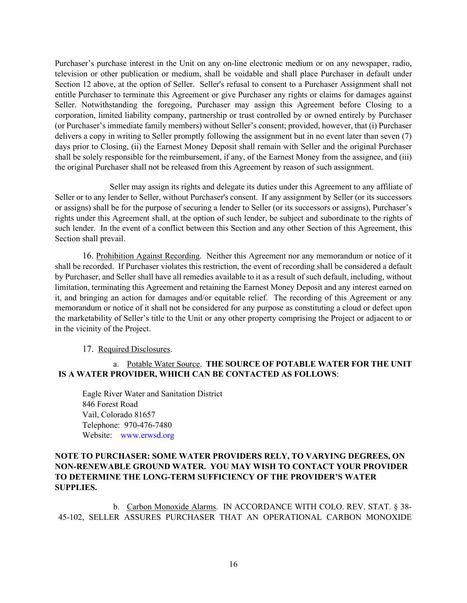Purchaser's purchase interest in the Unit on any on-line electronic medium or on any newspaper, radio, television or other publication or medium, shall be voidable and shall place Purchaser in default under Section 12 above, at the option of Seller. Seller's refusal to consent to a Purchaser Assignment shall not entitle Purchaser to terminate this Agreement or give Purchaser any rights or claims for damages against Seller. Notwithstanding the foregoing, Purchaser may assign this Agreement before Closing to a corporation, limited liability company, partnership or trust controlled by or owned entirely by Purchaser (or Purchaser's immediate family members) without Seller's consent; provided, however, that (i) Purchaser delivers a copy in writing to Seller promptly following the assignment but in no event later than seven (7) days prior to Closing, (ii) the Earnest Money Deposit shall remain with Seller and the original Purchaser shall be solely responsible for the reimbursement, if any, of the Earnest Money from the assignee, and (iii) the original Purchaser shall not be released from this Agreement by reason of such assignment.

Seller may assign its rights and delegate its duties under this Agreement to any affiliate of Seller or to any lender to Seller, without Purchaser's consent. If any assignment by Seller (or its successors or assigns) shall be for the purpose of securing a lender to Seller (or its successors or assigns), Purchaser's rights under this Agreement shall, at the option of such lender, be subject and subordinate to the rights of such lender. In the event of a conflict between this Section and any other Section of this Agreement, this Section shall prevail.

16. Prohibition Against Recording. Neither this Agreement nor any memorandum or notice of it shall be recorded. If Purchaser violates this restriction, the event of recording shall be considered a default by Purchaser, and Seller shall have all remedies available to it as a result of such default, including, without limitation, terminating this Agreement and retaining the Earnest Money Deposit and any interest earned on it, and bringing an action for damages and/or equitable relief. The recording of this Agreement or any memorandum or notice of it shall not be considered for any purpose as constituting a cloud or defect upon the marketability of Seller's title to the Unit or any other property comprising the Project or adjacent to or in the vicinity of the Project.

17. Required Disclosures.

# a. Potable Water Source. **THE SOURCE OF POTABLE WATER FOR THE UNIT IS A WATER PROVIDER, WHICH CAN BE CONTACTED AS FOLLOWS**:

Eagle River Water and Sanitation District 846 Forest Road Vail, Colorado 81657 Telephone: 970-476-7480 Website: www.erwsd.org

# **NOTE TO PURCHASER: SOME WATER PROVIDERS RELY, TO VARYING DEGREES, ON NON-RENEWABLE GROUND WATER. YOU MAY WISH TO CONTACT YOUR PROVIDER TO DETERMINE THE LONG-TERM SUFFICIENCY OF THE PROVIDER'S WATER SUPPLIES.**

b. Carbon Monoxide Alarms. IN ACCORDANCE WITH COLO. REV. STAT. § 38- 45-102, SELLER ASSURES PURCHASER THAT AN OPERATIONAL CARBON MONOXIDE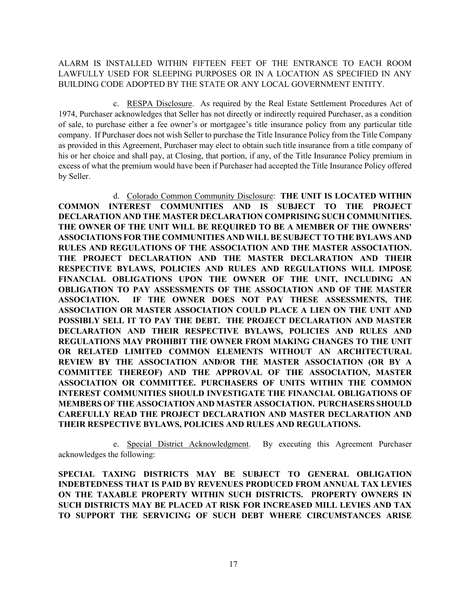## ALARM IS INSTALLED WITHIN FIFTEEN FEET OF THE ENTRANCE TO EACH ROOM LAWFULLY USED FOR SLEEPING PURPOSES OR IN A LOCATION AS SPECIFIED IN ANY BUILDING CODE ADOPTED BY THE STATE OR ANY LOCAL GOVERNMENT ENTITY.

c. RESPA Disclosure. As required by the Real Estate Settlement Procedures Act of 1974, Purchaser acknowledges that Seller has not directly or indirectly required Purchaser, as a condition of sale, to purchase either a fee owner's or mortgagee's title insurance policy from any particular title company. If Purchaser does not wish Seller to purchase the Title Insurance Policy from the Title Company as provided in this Agreement, Purchaser may elect to obtain such title insurance from a title company of his or her choice and shall pay, at Closing, that portion, if any, of the Title Insurance Policy premium in excess of what the premium would have been if Purchaser had accepted the Title Insurance Policy offered by Seller.

d. Colorado Common Community Disclosure: **THE UNIT IS LOCATED WITHIN COMMON INTEREST COMMUNITIES AND IS SUBJECT TO THE PROJECT DECLARATION AND THE MASTER DECLARATION COMPRISING SUCH COMMUNITIES. THE OWNER OF THE UNIT WILL BE REQUIRED TO BE A MEMBER OF THE OWNERS' ASSOCIATIONS FOR THE COMMUNITIES AND WILL BE SUBJECT TO THE BYLAWS AND RULES AND REGULATIONS OF THE ASSOCIATION AND THE MASTER ASSOCIATION. THE PROJECT DECLARATION AND THE MASTER DECLARATION AND THEIR RESPECTIVE BYLAWS, POLICIES AND RULES AND REGULATIONS WILL IMPOSE FINANCIAL OBLIGATIONS UPON THE OWNER OF THE UNIT, INCLUDING AN OBLIGATION TO PAY ASSESSMENTS OF THE ASSOCIATION AND OF THE MASTER ASSOCIATION. IF THE OWNER DOES NOT PAY THESE ASSESSMENTS, THE ASSOCIATION OR MASTER ASSOCIATION COULD PLACE A LIEN ON THE UNIT AND POSSIBLY SELL IT TO PAY THE DEBT. THE PROJECT DECLARATION AND MASTER DECLARATION AND THEIR RESPECTIVE BYLAWS, POLICIES AND RULES AND REGULATIONS MAY PROHIBIT THE OWNER FROM MAKING CHANGES TO THE UNIT OR RELATED LIMITED COMMON ELEMENTS WITHOUT AN ARCHITECTURAL REVIEW BY THE ASSOCIATION AND/OR THE MASTER ASSOCIATION (OR BY A COMMITTEE THEREOF) AND THE APPROVAL OF THE ASSOCIATION, MASTER ASSOCIATION OR COMMITTEE. PURCHASERS OF UNITS WITHIN THE COMMON INTEREST COMMUNITIES SHOULD INVESTIGATE THE FINANCIAL OBLIGATIONS OF MEMBERS OF THE ASSOCIATION AND MASTER ASSOCIATION. PURCHASERS SHOULD CAREFULLY READ THE PROJECT DECLARATION AND MASTER DECLARATION AND THEIR RESPECTIVE BYLAWS, POLICIES AND RULES AND REGULATIONS.**

e. Special District Acknowledgment. By executing this Agreement Purchaser acknowledges the following:

**SPECIAL TAXING DISTRICTS MAY BE SUBJECT TO GENERAL OBLIGATION INDEBTEDNESS THAT IS PAID BY REVENUES PRODUCED FROM ANNUAL TAX LEVIES ON THE TAXABLE PROPERTY WITHIN SUCH DISTRICTS. PROPERTY OWNERS IN SUCH DISTRICTS MAY BE PLACED AT RISK FOR INCREASED MILL LEVIES AND TAX TO SUPPORT THE SERVICING OF SUCH DEBT WHERE CIRCUMSTANCES ARISE**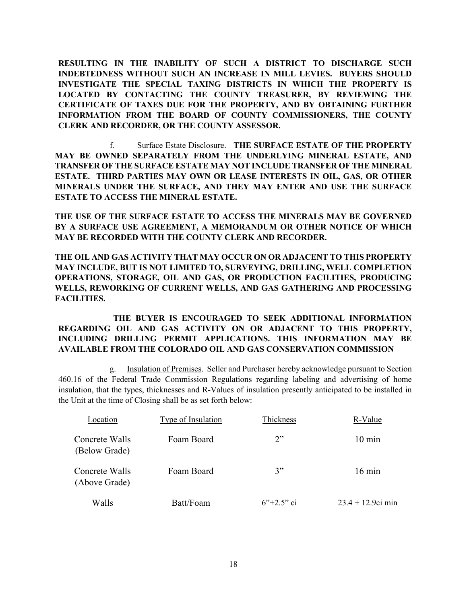**RESULTING IN THE INABILITY OF SUCH A DISTRICT TO DISCHARGE SUCH INDEBTEDNESS WITHOUT SUCH AN INCREASE IN MILL LEVIES. BUYERS SHOULD INVESTIGATE THE SPECIAL TAXING DISTRICTS IN WHICH THE PROPERTY IS LOCATED BY CONTACTING THE COUNTY TREASURER, BY REVIEWING THE CERTIFICATE OF TAXES DUE FOR THE PROPERTY, AND BY OBTAINING FURTHER INFORMATION FROM THE BOARD OF COUNTY COMMISSIONERS, THE COUNTY CLERK AND RECORDER, OR THE COUNTY ASSESSOR.**

f. Surface Estate Disclosure. **THE SURFACE ESTATE OF THE PROPERTY MAY BE OWNED SEPARATELY FROM THE UNDERLYING MINERAL ESTATE, AND TRANSFER OF THE SURFACE ESTATE MAY NOT INCLUDE TRANSFER OF THE MINERAL ESTATE. THIRD PARTIES MAY OWN OR LEASE INTERESTS IN OIL, GAS, OR OTHER MINERALS UNDER THE SURFACE, AND THEY MAY ENTER AND USE THE SURFACE ESTATE TO ACCESS THE MINERAL ESTATE.** 

**THE USE OF THE SURFACE ESTATE TO ACCESS THE MINERALS MAY BE GOVERNED BY A SURFACE USE AGREEMENT, A MEMORANDUM OR OTHER NOTICE OF WHICH MAY BE RECORDED WITH THE COUNTY CLERK AND RECORDER.** 

**THE OIL AND GAS ACTIVITY THAT MAY OCCUR ON OR ADJACENT TO THIS PROPERTY MAY INCLUDE, BUT IS NOT LIMITED TO, SURVEYING, DRILLING, WELL COMPLETION OPERATIONS, STORAGE, OIL AND GAS, OR PRODUCTION FACILITIES, PRODUCING WELLS, REWORKING OF CURRENT WELLS, AND GAS GATHERING AND PROCESSING FACILITIES.** 

**THE BUYER IS ENCOURAGED TO SEEK ADDITIONAL INFORMATION REGARDING OIL AND GAS ACTIVITY ON OR ADJACENT TO THIS PROPERTY, INCLUDING DRILLING PERMIT APPLICATIONS. THIS INFORMATION MAY BE AVAILABLE FROM THE COLORADO OIL AND GAS CONSERVATION COMMISSION**

g. Insulation of Premises. Seller and Purchaser hereby acknowledge pursuant to Section 460.16 of the Federal Trade Commission Regulations regarding labeling and advertising of home insulation, that the types, thicknesses and R-Values of insulation presently anticipated to be installed in the Unit at the time of Closing shall be as set forth below:

| Location                        | Type of Insulation | Thickness    | R-Value              |
|---------------------------------|--------------------|--------------|----------------------|
| Concrete Walls<br>(Below Grade) | Foam Board         | 2"           | $10 \text{ min}$     |
| Concrete Walls<br>(Above Grade) | Foam Board         | 3"           | $16 \text{ min}$     |
| Walls                           | Batt/Foam          | $6"+2.5"$ ci | $23.4 + 12.9$ ci min |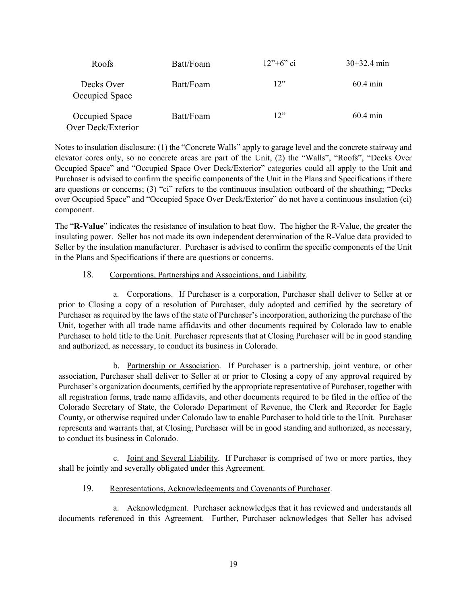| Roofs                                | Batt/Foam | $12" + 6"$ ci | $30+32.4$ min |
|--------------------------------------|-----------|---------------|---------------|
| Decks Over<br>Occupied Space         | Batt/Foam | 12"           | $60.4$ min    |
| Occupied Space<br>Over Deck/Exterior | Batt/Foam | 12"           | $60.4$ min    |

Notes to insulation disclosure: (1) the "Concrete Walls" apply to garage level and the concrete stairway and elevator cores only, so no concrete areas are part of the Unit, (2) the "Walls", "Roofs", "Decks Over Occupied Space" and "Occupied Space Over Deck/Exterior" categories could all apply to the Unit and Purchaser is advised to confirm the specific components of the Unit in the Plans and Specifications if there are questions or concerns; (3) "ci" refers to the continuous insulation outboard of the sheathing; "Decks over Occupied Space" and "Occupied Space Over Deck/Exterior" do not have a continuous insulation (ci) component.

The "**R-Value**" indicates the resistance of insulation to heat flow. The higher the R-Value, the greater the insulating power. Seller has not made its own independent determination of the R-Value data provided to Seller by the insulation manufacturer. Purchaser is advised to confirm the specific components of the Unit in the Plans and Specifications if there are questions or concerns.

#### 18. Corporations, Partnerships and Associations, and Liability.

a. Corporations. If Purchaser is a corporation, Purchaser shall deliver to Seller at or prior to Closing a copy of a resolution of Purchaser, duly adopted and certified by the secretary of Purchaser as required by the laws of the state of Purchaser's incorporation, authorizing the purchase of the Unit, together with all trade name affidavits and other documents required by Colorado law to enable Purchaser to hold title to the Unit. Purchaser represents that at Closing Purchaser will be in good standing and authorized, as necessary, to conduct its business in Colorado.

b. Partnership or Association. If Purchaser is a partnership, joint venture, or other association, Purchaser shall deliver to Seller at or prior to Closing a copy of any approval required by Purchaser's organization documents, certified by the appropriate representative of Purchaser, together with all registration forms, trade name affidavits, and other documents required to be filed in the office of the Colorado Secretary of State, the Colorado Department of Revenue, the Clerk and Recorder for Eagle County, or otherwise required under Colorado law to enable Purchaser to hold title to the Unit. Purchaser represents and warrants that, at Closing, Purchaser will be in good standing and authorized, as necessary, to conduct its business in Colorado.

c. Joint and Several Liability. If Purchaser is comprised of two or more parties, they shall be jointly and severally obligated under this Agreement.

# 19. Representations, Acknowledgements and Covenants of Purchaser.

a. Acknowledgment. Purchaser acknowledges that it has reviewed and understands all documents referenced in this Agreement. Further, Purchaser acknowledges that Seller has advised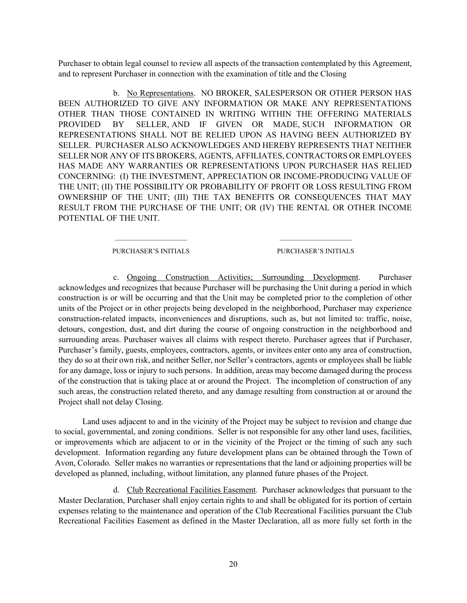Purchaser to obtain legal counsel to review all aspects of the transaction contemplated by this Agreement, and to represent Purchaser in connection with the examination of title and the Closing

b. No Representations. NO BROKER, SALESPERSON OR OTHER PERSON HAS BEEN AUTHORIZED TO GIVE ANY INFORMATION OR MAKE ANY REPRESENTATIONS OTHER THAN THOSE CONTAINED IN WRITING WITHIN THE OFFERING MATERIALS PROVIDED BY SELLER, AND IF GIVEN OR MADE, SUCH INFORMATION OR REPRESENTATIONS SHALL NOT BE RELIED UPON AS HAVING BEEN AUTHORIZED BY SELLER. PURCHASER ALSO ACKNOWLEDGES AND HEREBY REPRESENTS THAT NEITHER SELLER NOR ANY OF ITS BROKERS, AGENTS, AFFILIATES, CONTRACTORS OR EMPLOYEES HAS MADE ANY WARRANTIES OR REPRESENTATIONS UPON PURCHASER HAS RELIED CONCERNING: (I) THE INVESTMENT, APPRECIATION OR INCOME-PRODUCING VALUE OF THE UNIT; (II) THE POSSIBILITY OR PROBABILITY OF PROFIT OR LOSS RESULTING FROM OWNERSHIP OF THE UNIT; (III) THE TAX BENEFITS OR CONSEQUENCES THAT MAY RESULT FROM THE PURCHASE OF THE UNIT; OR (IV) THE RENTAL OR OTHER INCOME POTENTIAL OF THE UNIT.

> $\overline{\phantom{a}}$  , where  $\overline{\phantom{a}}$ PURCHASER'S INITIALS

 $\overline{\phantom{a}}$  , where  $\overline{\phantom{a}}$ PURCHASER'S INITIALS

c. Ongoing Construction Activities; Surrounding Development. Purchaser acknowledges and recognizes that because Purchaser will be purchasing the Unit during a period in which construction is or will be occurring and that the Unit may be completed prior to the completion of other units of the Project or in other projects being developed in the neighborhood, Purchaser may experience construction-related impacts, inconveniences and disruptions, such as, but not limited to: traffic, noise, detours, congestion, dust, and dirt during the course of ongoing construction in the neighborhood and surrounding areas. Purchaser waives all claims with respect thereto. Purchaser agrees that if Purchaser, Purchaser's family, guests, employees, contractors, agents, or invitees enter onto any area of construction, they do so at their own risk, and neither Seller, nor Seller's contractors, agents or employees shall be liable for any damage, loss or injury to such persons. In addition, areas may become damaged during the process of the construction that is taking place at or around the Project. The incompletion of construction of any such areas, the construction related thereto, and any damage resulting from construction at or around the Project shall not delay Closing.

Land uses adjacent to and in the vicinity of the Project may be subject to revision and change due to social, governmental, and zoning conditions. Seller is not responsible for any other land uses, facilities, or improvements which are adjacent to or in the vicinity of the Project or the timing of such any such development. Information regarding any future development plans can be obtained through the Town of Avon, Colorado. Seller makes no warranties or representations that the land or adjoining properties will be developed as planned, including, without limitation, any planned future phases of the Project.

d. Club Recreational Facilities Easement. Purchaser acknowledges that pursuant to the Master Declaration, Purchaser shall enjoy certain rights to and shall be obligated for its portion of certain expenses relating to the maintenance and operation of the Club Recreational Facilities pursuant the Club Recreational Facilities Easement as defined in the Master Declaration, all as more fully set forth in the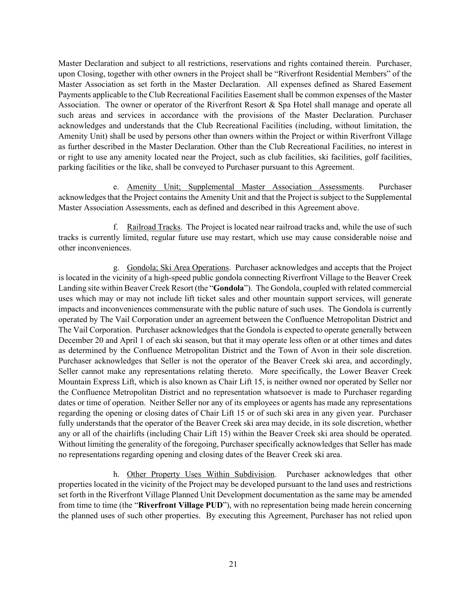Master Declaration and subject to all restrictions, reservations and rights contained therein. Purchaser, upon Closing, together with other owners in the Project shall be "Riverfront Residential Members" of the Master Association as set forth in the Master Declaration. All expenses defined as Shared Easement Payments applicable to the Club Recreational Facilities Easement shall be common expenses of the Master Association. The owner or operator of the Riverfront Resort & Spa Hotel shall manage and operate all such areas and services in accordance with the provisions of the Master Declaration. Purchaser acknowledges and understands that the Club Recreational Facilities (including, without limitation, the Amenity Unit) shall be used by persons other than owners within the Project or within Riverfront Village as further described in the Master Declaration. Other than the Club Recreational Facilities, no interest in or right to use any amenity located near the Project, such as club facilities, ski facilities, golf facilities, parking facilities or the like, shall be conveyed to Purchaser pursuant to this Agreement.

e. Amenity Unit; Supplemental Master Association Assessments. Purchaser acknowledges that the Project contains the Amenity Unit and that the Project is subject to the Supplemental Master Association Assessments, each as defined and described in this Agreement above.

f. Railroad Tracks. The Project is located near railroad tracks and, while the use of such tracks is currently limited, regular future use may restart, which use may cause considerable noise and other inconveniences.

g. Gondola; Ski Area Operations. Purchaser acknowledges and accepts that the Project is located in the vicinity of a high-speed public gondola connecting Riverfront Village to the Beaver Creek Landing site within Beaver Creek Resort (the "**Gondola**"). The Gondola, coupled with related commercial uses which may or may not include lift ticket sales and other mountain support services, will generate impacts and inconveniences commensurate with the public nature of such uses. The Gondola is currently operated by The Vail Corporation under an agreement between the Confluence Metropolitan District and The Vail Corporation. Purchaser acknowledges that the Gondola is expected to operate generally between December 20 and April 1 of each ski season, but that it may operate less often or at other times and dates as determined by the Confluence Metropolitan District and the Town of Avon in their sole discretion. Purchaser acknowledges that Seller is not the operator of the Beaver Creek ski area, and accordingly, Seller cannot make any representations relating thereto. More specifically, the Lower Beaver Creek Mountain Express Lift, which is also known as Chair Lift 15, is neither owned nor operated by Seller nor the Confluence Metropolitan District and no representation whatsoever is made to Purchaser regarding dates or time of operation. Neither Seller nor any of its employees or agents has made any representations regarding the opening or closing dates of Chair Lift 15 or of such ski area in any given year. Purchaser fully understands that the operator of the Beaver Creek ski area may decide, in its sole discretion, whether any or all of the chairlifts (including Chair Lift 15) within the Beaver Creek ski area should be operated. Without limiting the generality of the foregoing, Purchaser specifically acknowledges that Seller has made no representations regarding opening and closing dates of the Beaver Creek ski area.

h. Other Property Uses Within Subdivision. Purchaser acknowledges that other properties located in the vicinity of the Project may be developed pursuant to the land uses and restrictions set forth in the Riverfront Village Planned Unit Development documentation as the same may be amended from time to time (the "**Riverfront Village PUD**"), with no representation being made herein concerning the planned uses of such other properties. By executing this Agreement, Purchaser has not relied upon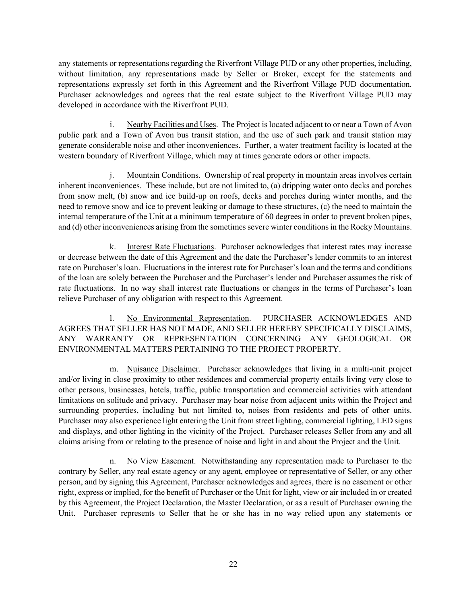any statements or representations regarding the Riverfront Village PUD or any other properties, including, without limitation, any representations made by Seller or Broker, except for the statements and representations expressly set forth in this Agreement and the Riverfront Village PUD documentation. Purchaser acknowledges and agrees that the real estate subject to the Riverfront Village PUD may developed in accordance with the Riverfront PUD.

i. Nearby Facilities and Uses. The Project is located adjacent to or near a Town of Avon public park and a Town of Avon bus transit station, and the use of such park and transit station may generate considerable noise and other inconveniences. Further, a water treatment facility is located at the western boundary of Riverfront Village, which may at times generate odors or other impacts.

j. Mountain Conditions. Ownership of real property in mountain areas involves certain inherent inconveniences. These include, but are not limited to, (a) dripping water onto decks and porches from snow melt, (b) snow and ice build-up on roofs, decks and porches during winter months, and the need to remove snow and ice to prevent leaking or damage to these structures, (c) the need to maintain the internal temperature of the Unit at a minimum temperature of 60 degrees in order to prevent broken pipes, and (d) other inconveniences arising from the sometimes severe winter conditions in the Rocky Mountains.

k. Interest Rate Fluctuations. Purchaser acknowledges that interest rates may increase or decrease between the date of this Agreement and the date the Purchaser's lender commits to an interest rate on Purchaser's loan. Fluctuations in the interest rate for Purchaser's loan and the terms and conditions of the loan are solely between the Purchaser and the Purchaser's lender and Purchaser assumes the risk of rate fluctuations. In no way shall interest rate fluctuations or changes in the terms of Purchaser's loan relieve Purchaser of any obligation with respect to this Agreement.

l. No Environmental Representation. PURCHASER ACKNOWLEDGES AND AGREES THAT SELLER HAS NOT MADE, AND SELLER HEREBY SPECIFICALLY DISCLAIMS, ANY WARRANTY OR REPRESENTATION CONCERNING ANY GEOLOGICAL OR ENVIRONMENTAL MATTERS PERTAINING TO THE PROJECT PROPERTY.

m. Nuisance Disclaimer. Purchaser acknowledges that living in a multi-unit project and/or living in close proximity to other residences and commercial property entails living very close to other persons, businesses, hotels, traffic, public transportation and commercial activities with attendant limitations on solitude and privacy. Purchaser may hear noise from adjacent units within the Project and surrounding properties, including but not limited to, noises from residents and pets of other units. Purchaser may also experience light entering the Unit from street lighting, commercial lighting, LED signs and displays, and other lighting in the vicinity of the Project. Purchaser releases Seller from any and all claims arising from or relating to the presence of noise and light in and about the Project and the Unit.

n. No View Easement. Notwithstanding any representation made to Purchaser to the contrary by Seller, any real estate agency or any agent, employee or representative of Seller, or any other person, and by signing this Agreement, Purchaser acknowledges and agrees, there is no easement or other right, express or implied, for the benefit of Purchaser or the Unit for light, view or air included in or created by this Agreement, the Project Declaration, the Master Declaration, or as a result of Purchaser owning the Unit. Purchaser represents to Seller that he or she has in no way relied upon any statements or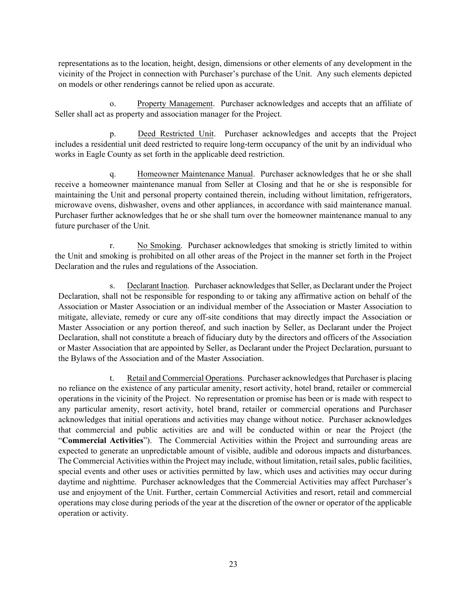representations as to the location, height, design, dimensions or other elements of any development in the vicinity of the Project in connection with Purchaser's purchase of the Unit. Any such elements depicted on models or other renderings cannot be relied upon as accurate.

o. Property Management. Purchaser acknowledges and accepts that an affiliate of Seller shall act as property and association manager for the Project.

p. Deed Restricted Unit. Purchaser acknowledges and accepts that the Project includes a residential unit deed restricted to require long-term occupancy of the unit by an individual who works in Eagle County as set forth in the applicable deed restriction.

q. Homeowner Maintenance Manual. Purchaser acknowledges that he or she shall receive a homeowner maintenance manual from Seller at Closing and that he or she is responsible for maintaining the Unit and personal property contained therein, including without limitation, refrigerators, microwave ovens, dishwasher, ovens and other appliances, in accordance with said maintenance manual. Purchaser further acknowledges that he or she shall turn over the homeowner maintenance manual to any future purchaser of the Unit.

r. No Smoking. Purchaser acknowledges that smoking is strictly limited to within the Unit and smoking is prohibited on all other areas of the Project in the manner set forth in the Project Declaration and the rules and regulations of the Association.

s. Declarant Inaction. Purchaser acknowledges that Seller, as Declarant under the Project Declaration, shall not be responsible for responding to or taking any affirmative action on behalf of the Association or Master Association or an individual member of the Association or Master Association to mitigate, alleviate, remedy or cure any off-site conditions that may directly impact the Association or Master Association or any portion thereof, and such inaction by Seller, as Declarant under the Project Declaration, shall not constitute a breach of fiduciary duty by the directors and officers of the Association or Master Association that are appointed by Seller, as Declarant under the Project Declaration, pursuant to the Bylaws of the Association and of the Master Association.

t. Retail and Commercial Operations. Purchaser acknowledges that Purchaser is placing no reliance on the existence of any particular amenity, resort activity, hotel brand, retailer or commercial operations in the vicinity of the Project. No representation or promise has been or is made with respect to any particular amenity, resort activity, hotel brand, retailer or commercial operations and Purchaser acknowledges that initial operations and activities may change without notice. Purchaser acknowledges that commercial and public activities are and will be conducted within or near the Project (the "**Commercial Activities**"). The Commercial Activities within the Project and surrounding areas are expected to generate an unpredictable amount of visible, audible and odorous impacts and disturbances. The Commercial Activities within the Project may include, without limitation, retail sales, public facilities, special events and other uses or activities permitted by law, which uses and activities may occur during daytime and nighttime. Purchaser acknowledges that the Commercial Activities may affect Purchaser's use and enjoyment of the Unit. Further, certain Commercial Activities and resort, retail and commercial operations may close during periods of the year at the discretion of the owner or operator of the applicable operation or activity.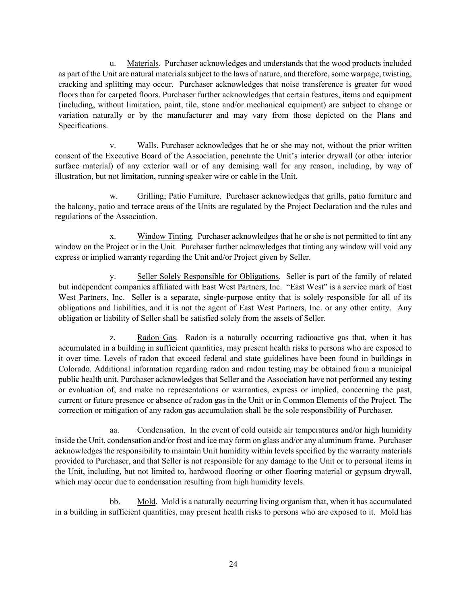u. Materials. Purchaser acknowledges and understands that the wood products included as part of the Unit are natural materials subject to the laws of nature, and therefore, some warpage, twisting, cracking and splitting may occur. Purchaser acknowledges that noise transference is greater for wood floors than for carpeted floors. Purchaser further acknowledges that certain features, items and equipment (including, without limitation, paint, tile, stone and/or mechanical equipment) are subject to change or variation naturally or by the manufacturer and may vary from those depicted on the Plans and Specifications.

v. Walls. Purchaser acknowledges that he or she may not, without the prior written consent of the Executive Board of the Association, penetrate the Unit's interior drywall (or other interior surface material) of any exterior wall or of any demising wall for any reason, including, by way of illustration, but not limitation, running speaker wire or cable in the Unit.

w. Grilling; Patio Furniture. Purchaser acknowledges that grills, patio furniture and the balcony, patio and terrace areas of the Units are regulated by the Project Declaration and the rules and regulations of the Association.

x. Window Tinting. Purchaser acknowledges that he or she is not permitted to tint any window on the Project or in the Unit. Purchaser further acknowledges that tinting any window will void any express or implied warranty regarding the Unit and/or Project given by Seller.

y. Seller Solely Responsible for Obligations. Seller is part of the family of related but independent companies affiliated with East West Partners, Inc. "East West" is a service mark of East West Partners, Inc. Seller is a separate, single-purpose entity that is solely responsible for all of its obligations and liabilities, and it is not the agent of East West Partners, Inc. or any other entity. Any obligation or liability of Seller shall be satisfied solely from the assets of Seller.

z. Radon Gas. Radon is a naturally occurring radioactive gas that, when it has accumulated in a building in sufficient quantities, may present health risks to persons who are exposed to it over time. Levels of radon that exceed federal and state guidelines have been found in buildings in Colorado. Additional information regarding radon and radon testing may be obtained from a municipal public health unit. Purchaser acknowledges that Seller and the Association have not performed any testing or evaluation of, and make no representations or warranties, express or implied, concerning the past, current or future presence or absence of radon gas in the Unit or in Common Elements of the Project. The correction or mitigation of any radon gas accumulation shall be the sole responsibility of Purchaser.

aa. Condensation. In the event of cold outside air temperatures and/or high humidity inside the Unit, condensation and/or frost and ice may form on glass and/or any aluminum frame. Purchaser acknowledges the responsibility to maintain Unit humidity within levels specified by the warranty materials provided to Purchaser, and that Seller is not responsible for any damage to the Unit or to personal items in the Unit, including, but not limited to, hardwood flooring or other flooring material or gypsum drywall, which may occur due to condensation resulting from high humidity levels.

bb. Mold. Mold is a naturally occurring living organism that, when it has accumulated in a building in sufficient quantities, may present health risks to persons who are exposed to it. Mold has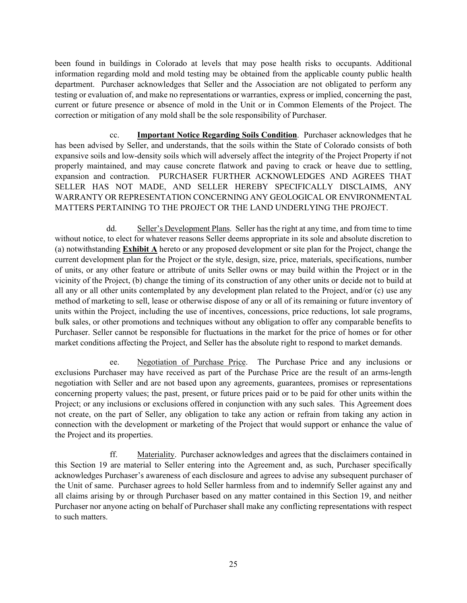been found in buildings in Colorado at levels that may pose health risks to occupants. Additional information regarding mold and mold testing may be obtained from the applicable county public health department. Purchaser acknowledges that Seller and the Association are not obligated to perform any testing or evaluation of, and make no representations or warranties, express or implied, concerning the past, current or future presence or absence of mold in the Unit or in Common Elements of the Project. The correction or mitigation of any mold shall be the sole responsibility of Purchaser.

cc. **Important Notice Regarding Soils Condition**. Purchaser acknowledges that he has been advised by Seller, and understands, that the soils within the State of Colorado consists of both expansive soils and low-density soils which will adversely affect the integrity of the Project Property if not properly maintained, and may cause concrete flatwork and paving to crack or heave due to settling, expansion and contraction. PURCHASER FURTHER ACKNOWLEDGES AND AGREES THAT SELLER HAS NOT MADE, AND SELLER HEREBY SPECIFICALLY DISCLAIMS, ANY WARRANTY OR REPRESENTATION CONCERNING ANY GEOLOGICAL OR ENVIRONMENTAL MATTERS PERTAINING TO THE PROJECT OR THE LAND UNDERLYING THE PROJECT.

dd. Seller's Development Plans. Seller has the right at any time, and from time to time without notice, to elect for whatever reasons Seller deems appropriate in its sole and absolute discretion to (a) notwithstanding **Exhibit A** hereto or any proposed development or site plan for the Project, change the current development plan for the Project or the style, design, size, price, materials, specifications, number of units, or any other feature or attribute of units Seller owns or may build within the Project or in the vicinity of the Project, (b) change the timing of its construction of any other units or decide not to build at all any or all other units contemplated by any development plan related to the Project, and/or (c) use any method of marketing to sell, lease or otherwise dispose of any or all of its remaining or future inventory of units within the Project, including the use of incentives, concessions, price reductions, lot sale programs, bulk sales, or other promotions and techniques without any obligation to offer any comparable benefits to Purchaser. Seller cannot be responsible for fluctuations in the market for the price of homes or for other market conditions affecting the Project, and Seller has the absolute right to respond to market demands.

ee. Negotiation of Purchase Price. The Purchase Price and any inclusions or exclusions Purchaser may have received as part of the Purchase Price are the result of an arms-length negotiation with Seller and are not based upon any agreements, guarantees, promises or representations concerning property values; the past, present, or future prices paid or to be paid for other units within the Project; or any inclusions or exclusions offered in conjunction with any such sales. This Agreement does not create, on the part of Seller, any obligation to take any action or refrain from taking any action in connection with the development or marketing of the Project that would support or enhance the value of the Project and its properties.

ff. Materiality. Purchaser acknowledges and agrees that the disclaimers contained in this Section 19 are material to Seller entering into the Agreement and, as such, Purchaser specifically acknowledges Purchaser's awareness of each disclosure and agrees to advise any subsequent purchaser of the Unit of same. Purchaser agrees to hold Seller harmless from and to indemnify Seller against any and all claims arising by or through Purchaser based on any matter contained in this Section 19, and neither Purchaser nor anyone acting on behalf of Purchaser shall make any conflicting representations with respect to such matters.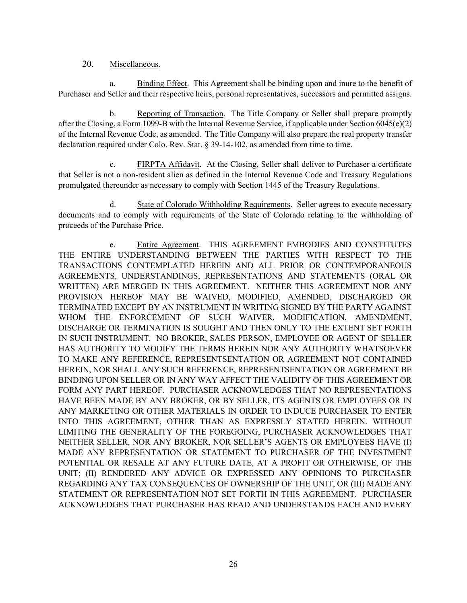#### 20. Miscellaneous.

a. Binding Effect. This Agreement shall be binding upon and inure to the benefit of Purchaser and Seller and their respective heirs, personal representatives, successors and permitted assigns.

b. Reporting of Transaction. The Title Company or Seller shall prepare promptly after the Closing, a Form 1099-B with the Internal Revenue Service, if applicable under Section 6045(e)(2) of the Internal Revenue Code, as amended. The Title Company will also prepare the real property transfer declaration required under Colo. Rev. Stat. § 39-14-102, as amended from time to time.

c. FIRPTA Affidavit. At the Closing, Seller shall deliver to Purchaser a certificate that Seller is not a non-resident alien as defined in the Internal Revenue Code and Treasury Regulations promulgated thereunder as necessary to comply with Section 1445 of the Treasury Regulations.

d. State of Colorado Withholding Requirements. Seller agrees to execute necessary documents and to comply with requirements of the State of Colorado relating to the withholding of proceeds of the Purchase Price.

e. Entire Agreement. THIS AGREEMENT EMBODIES AND CONSTITUTES THE ENTIRE UNDERSTANDING BETWEEN THE PARTIES WITH RESPECT TO THE TRANSACTIONS CONTEMPLATED HEREIN AND ALL PRIOR OR CONTEMPORANEOUS AGREEMENTS, UNDERSTANDINGS, REPRESENTATIONS AND STATEMENTS (ORAL OR WRITTEN) ARE MERGED IN THIS AGREEMENT. NEITHER THIS AGREEMENT NOR ANY PROVISION HEREOF MAY BE WAIVED, MODIFIED, AMENDED, DISCHARGED OR TERMINATED EXCEPT BY AN INSTRUMENT IN WRITING SIGNED BY THE PARTY AGAINST WHOM THE ENFORCEMENT OF SUCH WAIVER, MODIFICATION, AMENDMENT, DISCHARGE OR TERMINATION IS SOUGHT AND THEN ONLY TO THE EXTENT SET FORTH IN SUCH INSTRUMENT. NO BROKER, SALES PERSON, EMPLOYEE OR AGENT OF SELLER HAS AUTHORITY TO MODIFY THE TERMS HEREIN NOR ANY AUTHORITY WHATSOEVER TO MAKE ANY REFERENCE, REPRESENTSENTATION OR AGREEMENT NOT CONTAINED HEREIN, NOR SHALL ANY SUCH REFERENCE, REPRESENTSENTATION OR AGREEMENT BE BINDING UPON SELLER OR IN ANY WAY AFFECT THE VALIDITY OF THIS AGREEMENT OR FORM ANY PART HEREOF. PURCHASER ACKNOWLEDGES THAT NO REPRESENTATIONS HAVE BEEN MADE BY ANY BROKER, OR BY SELLER, ITS AGENTS OR EMPLOYEES OR IN ANY MARKETING OR OTHER MATERIALS IN ORDER TO INDUCE PURCHASER TO ENTER INTO THIS AGREEMENT, OTHER THAN AS EXPRESSLY STATED HEREIN. WITHOUT LIMITING THE GENERALITY OF THE FOREGOING, PURCHASER ACKNOWLEDGES THAT NEITHER SELLER, NOR ANY BROKER, NOR SELLER'S AGENTS OR EMPLOYEES HAVE (I) MADE ANY REPRESENTATION OR STATEMENT TO PURCHASER OF THE INVESTMENT POTENTIAL OR RESALE AT ANY FUTURE DATE, AT A PROFIT OR OTHERWISE, OF THE UNIT; (II) RENDERED ANY ADVICE OR EXPRESSED ANY OPINIONS TO PURCHASER REGARDING ANY TAX CONSEQUENCES OF OWNERSHIP OF THE UNIT, OR (III) MADE ANY STATEMENT OR REPRESENTATION NOT SET FORTH IN THIS AGREEMENT. PURCHASER ACKNOWLEDGES THAT PURCHASER HAS READ AND UNDERSTANDS EACH AND EVERY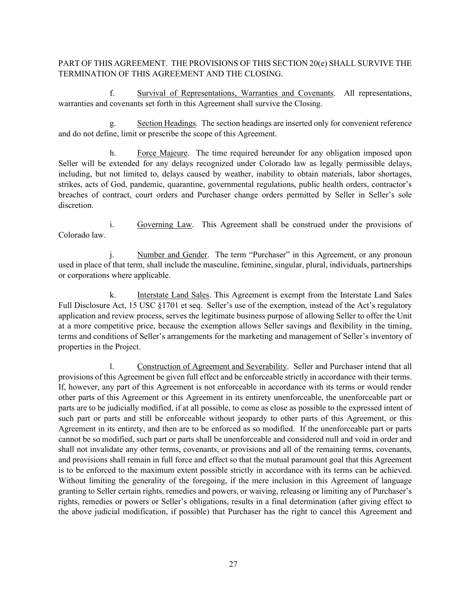# PART OF THIS AGREEMENT. THE PROVISIONS OF THIS SECTION 20(e) SHALL SURVIVE THE TERMINATION OF THIS AGREEMENT AND THE CLOSING.

f. Survival of Representations, Warranties and Covenants. All representations, warranties and covenants set forth in this Agreement shall survive the Closing.

g. Section Headings. The section headings are inserted only for convenient reference and do not define, limit or prescribe the scope of this Agreement.

h. Force Majeure. The time required hereunder for any obligation imposed upon Seller will be extended for any delays recognized under Colorado law as legally permissible delays, including, but not limited to, delays caused by weather, inability to obtain materials, labor shortages, strikes, acts of God, pandemic, quarantine, governmental regulations, public health orders, contractor's breaches of contract, court orders and Purchaser change orders permitted by Seller in Seller's sole discretion.

i. Governing Law. This Agreement shall be construed under the provisions of Colorado law.

Number and Gender. The term "Purchaser" in this Agreement, or any pronoun used in place of that term, shall include the masculine, feminine, singular, plural, individuals, partnerships or corporations where applicable.

k. Interstate Land Sales. This Agreement is exempt from the Interstate Land Sales Full Disclosure Act, 15 USC §1701 et seq. Seller's use of the exemption, instead of the Act's regulatory application and review process, serves the legitimate business purpose of allowing Seller to offer the Unit at a more competitive price, because the exemption allows Seller savings and flexibility in the timing, terms and conditions of Seller's arrangements for the marketing and management of Seller's inventory of properties in the Project.

l. Construction of Agreement and Severability. Seller and Purchaser intend that all provisions of this Agreement be given full effect and be enforceable strictly in accordance with their terms. If, however, any part of this Agreement is not enforceable in accordance with its terms or would render other parts of this Agreement or this Agreement in its entirety unenforceable, the unenforceable part or parts are to be judicially modified, if at all possible, to come as close as possible to the expressed intent of such part or parts and still be enforceable without jeopardy to other parts of this Agreement, or this Agreement in its entirety, and then are to be enforced as so modified. If the unenforceable part or parts cannot be so modified, such part or parts shall be unenforceable and considered null and void in order and shall not invalidate any other terms, covenants, or provisions and all of the remaining terms, covenants, and provisions shall remain in full force and effect so that the mutual paramount goal that this Agreement is to be enforced to the maximum extent possible strictly in accordance with its terms can be achieved. Without limiting the generality of the foregoing, if the mere inclusion in this Agreement of language granting to Seller certain rights, remedies and powers, or waiving, releasing or limiting any of Purchaser's rights, remedies or powers or Seller's obligations, results in a final determination (after giving effect to the above judicial modification, if possible) that Purchaser has the right to cancel this Agreement and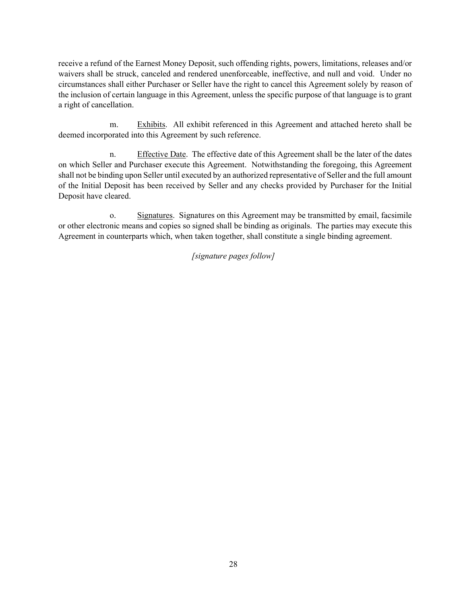receive a refund of the Earnest Money Deposit, such offending rights, powers, limitations, releases and/or waivers shall be struck, canceled and rendered unenforceable, ineffective, and null and void. Under no circumstances shall either Purchaser or Seller have the right to cancel this Agreement solely by reason of the inclusion of certain language in this Agreement, unless the specific purpose of that language is to grant a right of cancellation.

m. Exhibits. All exhibit referenced in this Agreement and attached hereto shall be deemed incorporated into this Agreement by such reference.

n. Effective Date. The effective date of this Agreement shall be the later of the dates on which Seller and Purchaser execute this Agreement. Notwithstanding the foregoing, this Agreement shall not be binding upon Seller until executed by an authorized representative of Seller and the full amount of the Initial Deposit has been received by Seller and any checks provided by Purchaser for the Initial Deposit have cleared.

o. Signatures. Signatures on this Agreement may be transmitted by email, facsimile or other electronic means and copies so signed shall be binding as originals. The parties may execute this Agreement in counterparts which, when taken together, shall constitute a single binding agreement.

## *[signature pages follow]*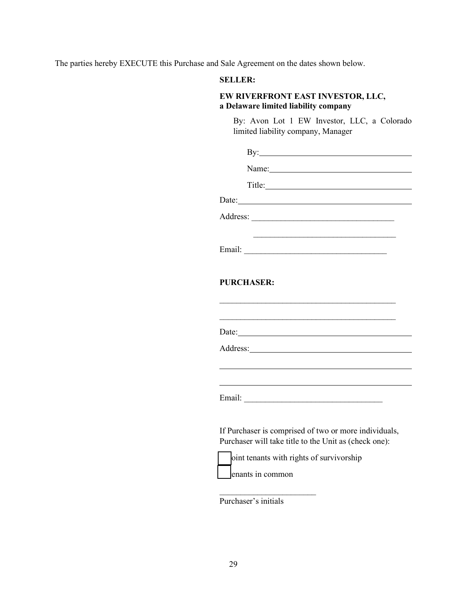The parties hereby EXECUTE this Purchase and Sale Agreement on the dates shown below.

## **SELLER:**

# **EW RIVERFRONT EAST INVESTOR, LLC, a Delaware limited liability company**

By: Avon Lot 1 EW Investor, LLC, a Colorado limited liability company, Manager

| $\mathbf{By:}\_\_\_\_\_\_\_\$                                                                                  |
|----------------------------------------------------------------------------------------------------------------|
| Name: 2008. 2010. 2010. 2010. 2010. 2010. 2010. 2010. 2010. 2010. 2010. 2010. 2010. 2010. 2010. 2010. 2010. 20 |
|                                                                                                                |
|                                                                                                                |
|                                                                                                                |
|                                                                                                                |
|                                                                                                                |
|                                                                                                                |
| <b>PURCHASER:</b>                                                                                              |
|                                                                                                                |
|                                                                                                                |
|                                                                                                                |
|                                                                                                                |
|                                                                                                                |
|                                                                                                                |
|                                                                                                                |
|                                                                                                                |
| If Purchaser is comprised of two or more individuals,<br>Purchaser will take title to the Unit as (check one): |
| oint tenants with rights of survivorship                                                                       |
| enants in common                                                                                               |
|                                                                                                                |

Purchaser's initials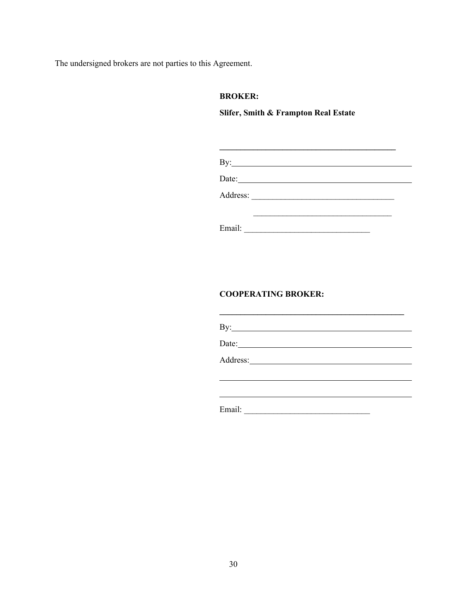The undersigned brokers are not parties to this Agreement.

## **BROKER:**

# **Slifer, Smith & Frampton Real Estate**

|        | Date: |  |
|--------|-------|--|
|        |       |  |
|        |       |  |
| Email: |       |  |

# **COOPERATING BROKER:**

| By: $\qquad \qquad$ |  |
|---------------------|--|
| Date: 2008          |  |
|                     |  |
|                     |  |
| Email:              |  |

**\_\_\_\_\_\_\_\_\_\_\_\_\_\_\_\_\_\_\_\_\_\_\_\_\_\_\_\_\_\_\_\_\_\_\_\_\_\_\_\_\_\_\_\_**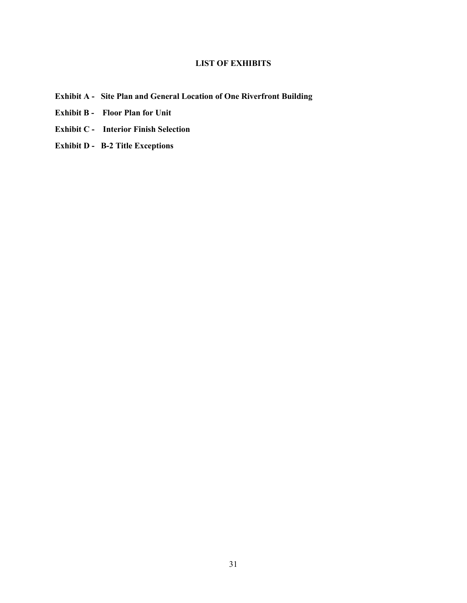# **LIST OF EXHIBITS**

- **Exhibit A Site Plan and General Location of One Riverfront Building**
- **Exhibit B Floor Plan for Unit**
- **Exhibit C Interior Finish Selection**
- **Exhibit D B-2 Title Exceptions**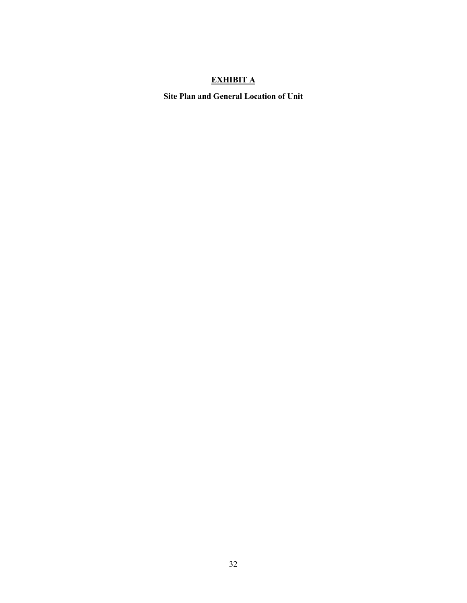# **EXHIBIT A**

**Site Plan and General Location of Unit**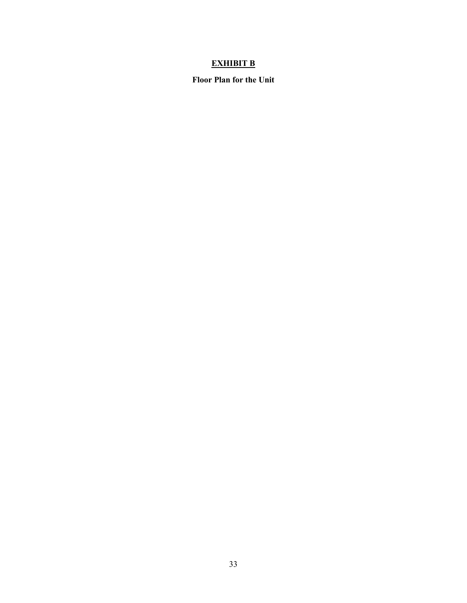# **EXHIBIT B**

**Floor Plan for the Unit**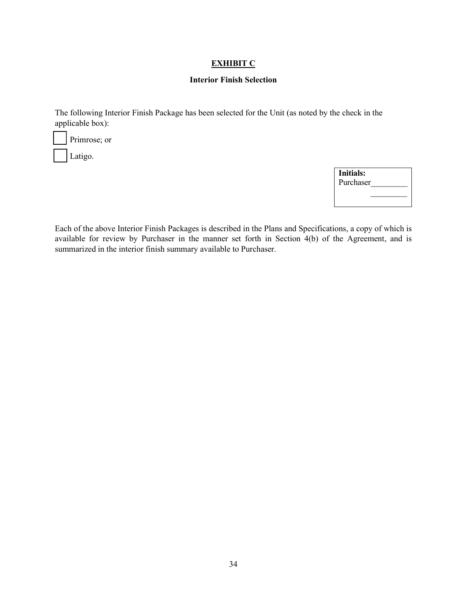### **EXHIBIT C**

#### **Interior Finish Selection**

The following Interior Finish Package has been selected for the Unit (as noted by the check in the applicable box):

Primrose; or

Latigo.

| <b>Initials:</b> |  |
|------------------|--|
| Purchaser        |  |
|                  |  |
|                  |  |

Each of the above Interior Finish Packages is described in the Plans and Specifications, a copy of which is available for review by Purchaser in the manner set forth in Section 4(b) of the Agreement, and is summarized in the interior finish summary available to Purchaser.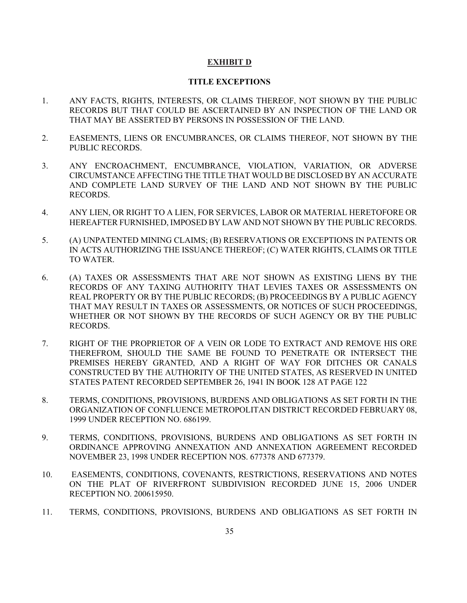#### **EXHIBIT D**

#### **TITLE EXCEPTIONS**

- 1. ANY FACTS, RIGHTS, INTERESTS, OR CLAIMS THEREOF, NOT SHOWN BY THE PUBLIC RECORDS BUT THAT COULD BE ASCERTAINED BY AN INSPECTION OF THE LAND OR THAT MAY BE ASSERTED BY PERSONS IN POSSESSION OF THE LAND.
- 2. EASEMENTS, LIENS OR ENCUMBRANCES, OR CLAIMS THEREOF, NOT SHOWN BY THE PUBLIC RECORDS.
- 3. ANY ENCROACHMENT, ENCUMBRANCE, VIOLATION, VARIATION, OR ADVERSE CIRCUMSTANCE AFFECTING THE TITLE THAT WOULD BE DISCLOSED BY AN ACCURATE AND COMPLETE LAND SURVEY OF THE LAND AND NOT SHOWN BY THE PUBLIC RECORDS.
- 4. ANY LIEN, OR RIGHT TO A LIEN, FOR SERVICES, LABOR OR MATERIAL HERETOFORE OR HEREAFTER FURNISHED, IMPOSED BY LAW AND NOT SHOWN BY THE PUBLIC RECORDS.
- 5. (A) UNPATENTED MINING CLAIMS; (B) RESERVATIONS OR EXCEPTIONS IN PATENTS OR IN ACTS AUTHORIZING THE ISSUANCE THEREOF; (C) WATER RIGHTS, CLAIMS OR TITLE TO WATER.
- 6. (A) TAXES OR ASSESSMENTS THAT ARE NOT SHOWN AS EXISTING LIENS BY THE RECORDS OF ANY TAXING AUTHORITY THAT LEVIES TAXES OR ASSESSMENTS ON REAL PROPERTY OR BY THE PUBLIC RECORDS; (B) PROCEEDINGS BY A PUBLIC AGENCY THAT MAY RESULT IN TAXES OR ASSESSMENTS, OR NOTICES OF SUCH PROCEEDINGS, WHETHER OR NOT SHOWN BY THE RECORDS OF SUCH AGENCY OR BY THE PUBLIC RECORDS.
- 7. RIGHT OF THE PROPRIETOR OF A VEIN OR LODE TO EXTRACT AND REMOVE HIS ORE THEREFROM, SHOULD THE SAME BE FOUND TO PENETRATE OR INTERSECT THE PREMISES HEREBY GRANTED, AND A RIGHT OF WAY FOR DITCHES OR CANALS CONSTRUCTED BY THE AUTHORITY OF THE UNITED STATES, AS RESERVED IN UNITED STATES PATENT RECORDED SEPTEMBER 26, 1941 IN BOOK 128 AT PAGE 122
- 8. TERMS, CONDITIONS, PROVISIONS, BURDENS AND OBLIGATIONS AS SET FORTH IN THE ORGANIZATION OF CONFLUENCE METROPOLITAN DISTRICT RECORDED FEBRUARY 08, 1999 UNDER RECEPTION NO. 686199.
- 9. TERMS, CONDITIONS, PROVISIONS, BURDENS AND OBLIGATIONS AS SET FORTH IN ORDINANCE APPROVING ANNEXATION AND ANNEXATION AGREEMENT RECORDED NOVEMBER 23, 1998 UNDER RECEPTION NOS. 677378 AND 677379.
- 10. EASEMENTS, CONDITIONS, COVENANTS, RESTRICTIONS, RESERVATIONS AND NOTES ON THE PLAT OF RIVERFRONT SUBDIVISION RECORDED JUNE 15, 2006 UNDER RECEPTION NO. 200615950.
- 11. TERMS, CONDITIONS, PROVISIONS, BURDENS AND OBLIGATIONS AS SET FORTH IN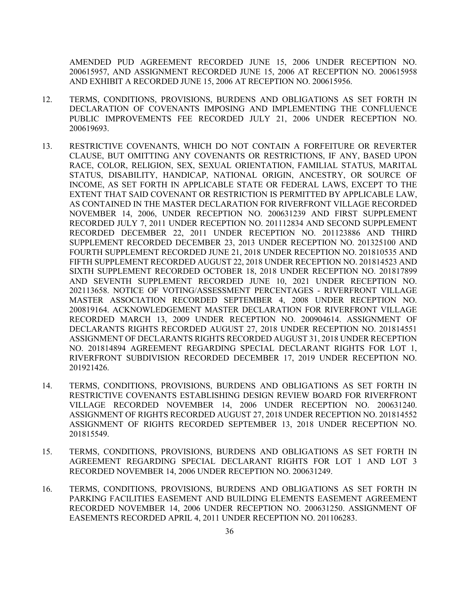AMENDED PUD AGREEMENT RECORDED JUNE 15, 2006 UNDER RECEPTION NO. 200615957, AND ASSIGNMENT RECORDED JUNE 15, 2006 AT RECEPTION NO. 200615958 AND EXHIBIT A RECORDED JUNE 15, 2006 AT RECEPTION NO. 200615956.

- 12. TERMS, CONDITIONS, PROVISIONS, BURDENS AND OBLIGATIONS AS SET FORTH IN DECLARATION OF COVENANTS IMPOSING AND IMPLEMENTING THE CONFLUENCE PUBLIC IMPROVEMENTS FEE RECORDED JULY 21, 2006 UNDER RECEPTION NO. 200619693.
- 13. RESTRICTIVE COVENANTS, WHICH DO NOT CONTAIN A FORFEITURE OR REVERTER CLAUSE, BUT OMITTING ANY COVENANTS OR RESTRICTIONS, IF ANY, BASED UPON RACE, COLOR, RELIGION, SEX, SEXUAL ORIENTATION, FAMILIAL STATUS, MARITAL STATUS, DISABILITY, HANDICAP, NATIONAL ORIGIN, ANCESTRY, OR SOURCE OF INCOME, AS SET FORTH IN APPLICABLE STATE OR FEDERAL LAWS, EXCEPT TO THE EXTENT THAT SAID COVENANT OR RESTRICTION IS PERMITTED BY APPLICABLE LAW, AS CONTAINED IN THE MASTER DECLARATION FOR RIVERFRONT VILLAGE RECORDED NOVEMBER 14, 2006, UNDER RECEPTION NO. 200631239 AND FIRST SUPPLEMENT RECORDED JULY 7, 2011 UNDER RECEPTION NO. 201112834 AND SECOND SUPPLEMENT RECORDED DECEMBER 22, 2011 UNDER RECEPTION NO. 201123886 AND THIRD SUPPLEMENT RECORDED DECEMBER 23, 2013 UNDER RECEPTION NO. 201325100 AND FOURTH SUPPLEMENT RECORDED JUNE 21, 2018 UNDER RECEPTION NO. 201810535 AND FIFTH SUPPLEMENT RECORDED AUGUST 22, 2018 UNDER RECEPTION NO. 201814523 AND SIXTH SUPPLEMENT RECORDED OCTOBER 18, 2018 UNDER RECEPTION NO. 201817899 AND SEVENTH SUPPLEMENT RECORDED JUNE 10, 2021 UNDER RECEPTION NO. 202113658. NOTICE OF VOTING/ASSESSMENT PERCENTAGES - RIVERFRONT VILLAGE MASTER ASSOCIATION RECORDED SEPTEMBER 4, 2008 UNDER RECEPTION NO. 200819164. ACKNOWLEDGEMENT MASTER DECLARATION FOR RIVERFRONT VILLAGE RECORDED MARCH 13, 2009 UNDER RECEPTION NO. 200904614. ASSIGNMENT OF DECLARANTS RIGHTS RECORDED AUGUST 27, 2018 UNDER RECEPTION NO. 201814551 ASSIGNMENT OF DECLARANTS RIGHTS RECORDED AUGUST 31, 2018 UNDER RECEPTION NO. 201814894 AGREEMENT REGARDING SPECIAL DECLARANT RIGHTS FOR LOT 1, RIVERFRONT SUBDIVISION RECORDED DECEMBER 17, 2019 UNDER RECEPTION NO. 201921426.
- 14. TERMS, CONDITIONS, PROVISIONS, BURDENS AND OBLIGATIONS AS SET FORTH IN RESTRICTIVE COVENANTS ESTABLISHING DESIGN REVIEW BOARD FOR RIVERFRONT VILLAGE RECORDED NOVEMBER 14, 2006 UNDER RECEPTION NO. 200631240. ASSIGNMENT OF RIGHTS RECORDED AUGUST 27, 2018 UNDER RECEPTION NO. 201814552 ASSIGNMENT OF RIGHTS RECORDED SEPTEMBER 13, 2018 UNDER RECEPTION NO. 201815549.
- 15. TERMS, CONDITIONS, PROVISIONS, BURDENS AND OBLIGATIONS AS SET FORTH IN AGREEMENT REGARDING SPECIAL DECLARANT RIGHTS FOR LOT 1 AND LOT 3 RECORDED NOVEMBER 14, 2006 UNDER RECEPTION NO. 200631249.
- 16. TERMS, CONDITIONS, PROVISIONS, BURDENS AND OBLIGATIONS AS SET FORTH IN PARKING FACILITIES EASEMENT AND BUILDING ELEMENTS EASEMENT AGREEMENT RECORDED NOVEMBER 14, 2006 UNDER RECEPTION NO. 200631250. ASSIGNMENT OF EASEMENTS RECORDED APRIL 4, 2011 UNDER RECEPTION NO. 201106283.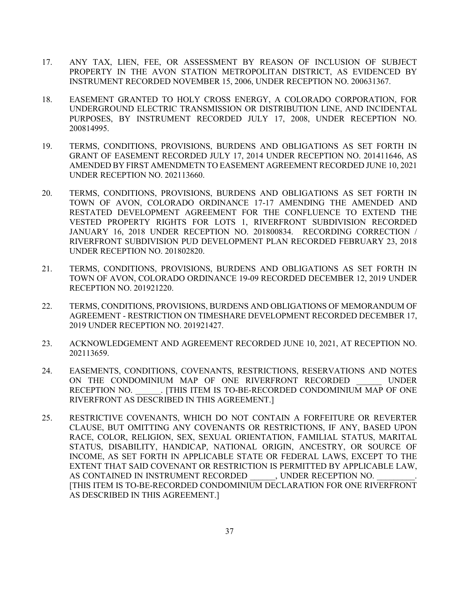- 17. ANY TAX, LIEN, FEE, OR ASSESSMENT BY REASON OF INCLUSION OF SUBJECT PROPERTY IN THE AVON STATION METROPOLITAN DISTRICT, AS EVIDENCED BY INSTRUMENT RECORDED NOVEMBER 15, 2006, UNDER RECEPTION NO. 200631367.
- 18. EASEMENT GRANTED TO HOLY CROSS ENERGY, A COLORADO CORPORATION, FOR UNDERGROUND ELECTRIC TRANSMISSION OR DISTRIBUTION LINE, AND INCIDENTAL PURPOSES, BY INSTRUMENT RECORDED JULY 17, 2008, UNDER RECEPTION NO. 200814995.
- 19. TERMS, CONDITIONS, PROVISIONS, BURDENS AND OBLIGATIONS AS SET FORTH IN GRANT OF EASEMENT RECORDED JULY 17, 2014 UNDER RECEPTION NO. 201411646, AS AMENDED BY FIRST AMENDMETN TO EASEMENT AGREEMENT RECORDED JUNE 10, 2021 UNDER RECEPTION NO. 202113660.
- 20. TERMS, CONDITIONS, PROVISIONS, BURDENS AND OBLIGATIONS AS SET FORTH IN TOWN OF AVON, COLORADO ORDINANCE 17-17 AMENDING THE AMENDED AND RESTATED DEVELOPMENT AGREEMENT FOR THE CONFLUENCE TO EXTEND THE VESTED PROPERTY RIGHTS FOR LOTS 1, RIVERFRONT SUBDIVISION RECORDED JANUARY 16, 2018 UNDER RECEPTION NO. 201800834. RECORDING CORRECTION / RIVERFRONT SUBDIVISION PUD DEVELOPMENT PLAN RECORDED FEBRUARY 23, 2018 UNDER RECEPTION NO. 201802820.
- 21. TERMS, CONDITIONS, PROVISIONS, BURDENS AND OBLIGATIONS AS SET FORTH IN TOWN OF AVON, COLORADO ORDINANCE 19-09 RECORDED DECEMBER 12, 2019 UNDER RECEPTION NO. 201921220.
- 22. TERMS, CONDITIONS, PROVISIONS, BURDENS AND OBLIGATIONS OF MEMORANDUM OF AGREEMENT - RESTRICTION ON TIMESHARE DEVELOPMENT RECORDED DECEMBER 17, 2019 UNDER RECEPTION NO. 201921427.
- 23. ACKNOWLEDGEMENT AND AGREEMENT RECORDED JUNE 10, 2021, AT RECEPTION NO. 202113659.
- 24. EASEMENTS, CONDITIONS, COVENANTS, RESTRICTIONS, RESERVATIONS AND NOTES ON THE CONDOMINIUM MAP OF ONE RIVERFRONT RECORDED UNDER RECEPTION NO.  $\qquad \qquad$  [THIS ITEM IS TO-BE-RECORDED CONDOMINIUM MAP OF ONE RIVERFRONT AS DESCRIBED IN THIS AGREEMENT.]
- 25. RESTRICTIVE COVENANTS, WHICH DO NOT CONTAIN A FORFEITURE OR REVERTER CLAUSE, BUT OMITTING ANY COVENANTS OR RESTRICTIONS, IF ANY, BASED UPON RACE, COLOR, RELIGION, SEX, SEXUAL ORIENTATION, FAMILIAL STATUS, MARITAL STATUS, DISABILITY, HANDICAP, NATIONAL ORIGIN, ANCESTRY, OR SOURCE OF INCOME, AS SET FORTH IN APPLICABLE STATE OR FEDERAL LAWS, EXCEPT TO THE EXTENT THAT SAID COVENANT OR RESTRICTION IS PERMITTED BY APPLICABLE LAW, AS CONTAINED IN INSTRUMENT RECORDED , UNDER RECEPTION NO. [THIS ITEM IS TO-BE-RECORDED CONDOMINIUM DECLARATION FOR ONE RIVERFRONT AS DESCRIBED IN THIS AGREEMENT.]